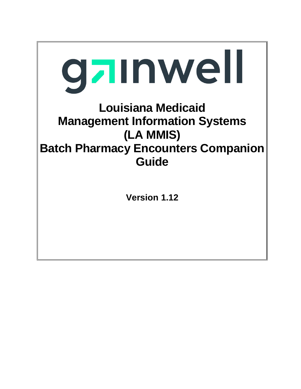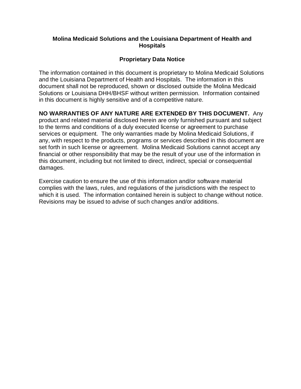#### **Molina Medicaid Solutions and the Louisiana Department of Health and Hospitals**

#### **Proprietary Data Notice**

The information contained in this document is proprietary to Molina Medicaid Solutions and the Louisiana Department of Health and Hospitals. The information in this document shall not be reproduced, shown or disclosed outside the Molina Medicaid Solutions or Louisiana DHH/BHSF without written permission. Information contained in this document is highly sensitive and of a competitive nature.

### **NO WARRANTIES OF ANY NATURE ARE EXTENDED BY THIS DOCUMENT.** Any

product and related material disclosed herein are only furnished pursuant and subject to the terms and conditions of a duly executed license or agreement to purchase services or equipment. The only warranties made by Molina Medicaid Solutions, if any, with respect to the products, programs or services described in this document are set forth in such license or agreement. Molina Medicaid Solutions cannot accept any financial or other responsibility that may be the result of your use of the information in this document, including but not limited to direct, indirect, special or consequential damages.

Exercise caution to ensure the use of this information and/or software material complies with the laws, rules, and regulations of the jurisdictions with the respect to which it is used. The information contained herein is subject to change without notice. Revisions may be issued to advise of such changes and/or additions.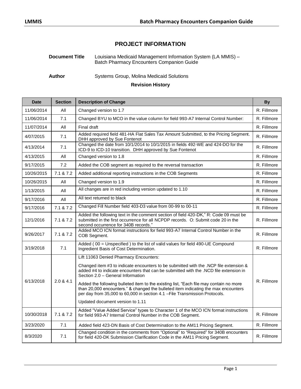### **PROJECT INFORMATION**

#### **Document Title** Louisiana Medicaid Management Information System (LA MMIS) – Batch Pharmacy Encounters Companion Guide

Author **Systems Group, Molina Medicaid Solutions** 

#### **Revision History**

| <b>Date</b> | <b>Section</b> | <b>Description of Change</b>                                                                                                                                                                                                                                                                                                                                                                                                                                                                                                                                     | <b>By</b>   |
|-------------|----------------|------------------------------------------------------------------------------------------------------------------------------------------------------------------------------------------------------------------------------------------------------------------------------------------------------------------------------------------------------------------------------------------------------------------------------------------------------------------------------------------------------------------------------------------------------------------|-------------|
| 11/06/2014  | All            | Changed version to 1.7                                                                                                                                                                                                                                                                                                                                                                                                                                                                                                                                           | R. Fillmore |
| 11/06/2014  | 7.1            | Changed BYU to MCO in the value column for field 993-A7 Internal Control Number:                                                                                                                                                                                                                                                                                                                                                                                                                                                                                 | R. Fillmore |
| 11/07/2014  | All            | Final draft                                                                                                                                                                                                                                                                                                                                                                                                                                                                                                                                                      | R. Fillmore |
| 4/07/2015   | 7.1            | Added required field 481-HA Flat Sales Tax Amount Submitted, to the Pricing Segment.<br>DHH approved by Sue Fontenot                                                                                                                                                                                                                                                                                                                                                                                                                                             | R. Fillmore |
| 4/13/2014   | 7.1            | Changed the date from 10/1/2014 to 10/1/2015 in fields 492-WE and 424-DO for the<br>ICD-9 to ICD-10 transition. DHH approved by Sue Fontenot                                                                                                                                                                                                                                                                                                                                                                                                                     | R. Fillmore |
| 4/13/2015   | All            | Changed version to 1.8                                                                                                                                                                                                                                                                                                                                                                                                                                                                                                                                           | R. Fillmore |
| 9/17/2015   | 7.2            | Added the COB segment as required to the reversal transaction                                                                                                                                                                                                                                                                                                                                                                                                                                                                                                    | R. Fillmore |
| 10/26/2015  | 7.1 & 7.2      | Added additional reporting instructions in the COB Segments                                                                                                                                                                                                                                                                                                                                                                                                                                                                                                      | R. Fillmore |
| 10/26/2015  | All            | Changed version to 1.9                                                                                                                                                                                                                                                                                                                                                                                                                                                                                                                                           | R. Fillmore |
| 1/13/2015   | All            | All changes are in red including version updated to 1.10                                                                                                                                                                                                                                                                                                                                                                                                                                                                                                         | R. Fillmore |
| 9/17/2016   | All            | All text returned to black                                                                                                                                                                                                                                                                                                                                                                                                                                                                                                                                       | R. Fillmore |
| 9/17/2016   | 7.1 & 7.2      | Changed Fill Number field 403-D3 value from 00-99 to 00-11                                                                                                                                                                                                                                                                                                                                                                                                                                                                                                       | R. Fillmore |
| 12/1/2016   | 7.1 & 7.2      | Added the following text in the comment section of field 420-DK," R: Code 09 must be<br>submitted in the first occurrence for all NCPDP records. O: Submit code 20 in the<br>second occurrence for 340B records."                                                                                                                                                                                                                                                                                                                                                | R. Fillmore |
| 9/26/2017   | 7.1 & 7.2      | Added MCO ICN format instructions for field 993-A7 Internal Control Number in the<br>COB Segment.                                                                                                                                                                                                                                                                                                                                                                                                                                                                | R. Fillmore |
| 3/19/2018   | 7.1            | Added (00 = Unspecified) to the list of valid values for field 490-UE Compound<br>Ingredient Basis of Cost Determination.                                                                                                                                                                                                                                                                                                                                                                                                                                        | R. Fillmore |
| 6/13/2018   | 2.0 & 4.1      | Lift 11063 Denied Pharmacy Encounters:<br>Changed item #3 to indicate encounters to be submitted with the .NCP file extension &<br>added #4 to indicate encounters that can be submitted with the .NCD file extension in<br>Section 2.0 - General Information<br>Added the following bulleted item to the existing list, "Each file may contain no more<br>than 20,000 encounters." & changed the bulleted item indicating the max encounters<br>per day from 35,000 to 60,000 in section 4.1 - File Transmission Protocols.<br>Updated document version to 1.11 | R. Fillmore |
| 10/30/2018  | 7.1 & 7.2      | Added "Value Added Service" types to Character 1 of the MCO ICN format instructions<br>for field 993-A7 Internal Control Number in the COB Segment.                                                                                                                                                                                                                                                                                                                                                                                                              | R. Fillmore |
| 3/23/2020   | 7.1            | Added field 423-DN Basis of Cost Determination to the AM11 Pricing Segment.                                                                                                                                                                                                                                                                                                                                                                                                                                                                                      | R. Fillmore |
| 8/3/2020    | 7.1            | Changed condition in the comments from "Optional" to "Required" for 340B encounters<br>for field 420-DK Submission Clarification Code in the AM11 Pricing Segment.                                                                                                                                                                                                                                                                                                                                                                                               | R. Fillmore |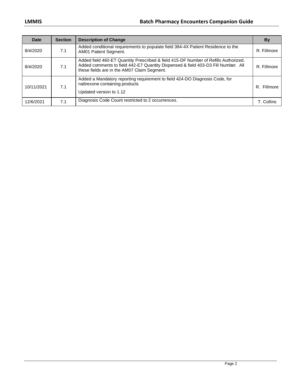| Date       | <b>Section</b> | <b>Description of Change</b>                                                                                                                                                                                            | By          |
|------------|----------------|-------------------------------------------------------------------------------------------------------------------------------------------------------------------------------------------------------------------------|-------------|
| 8/4/2020   | 7.1            | Added conditional requirements to populate field 384-4X Patient Residence to the<br>AM01 Patient Segment.                                                                                                               | R. Fillmore |
| 8/4/2020   | 7.1            | Added field 460-ET Quantity Prescribed & field 415-DF Number of Refills Authorized.<br>Added comments to field 442-E7 Quantity Dispensed & field 403-D3 Fill Number. All<br>these fields are in the AM07 Claim Segment. | R. Fillmore |
| 10/11/2021 | 7.1            | Added a Mandatory reporting requirement to field 424-DO Diagnosis Code, for<br>naltrexone containing products<br>Updated version to 1.12                                                                                | R. Fillmore |
| 12/6/2021  | 7.1            | Diagnosis Code Count restricted to 2 occurrences.                                                                                                                                                                       | T Collins   |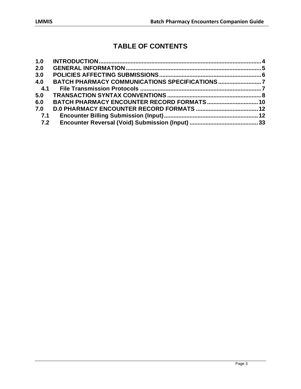# **TABLE OF CONTENTS**

| 1.0 |  |
|-----|--|
| 2.0 |  |
| 3.0 |  |
| 4.0 |  |
| 4.1 |  |
| 5.0 |  |
| 6.0 |  |
| 7.0 |  |
| 7.1 |  |
| 7.2 |  |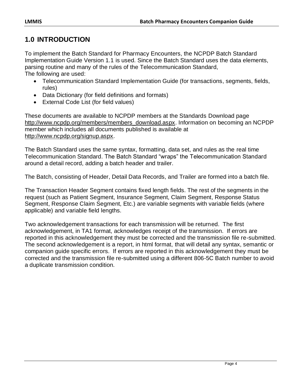# <span id="page-5-0"></span>**1.0 INTRODUCTION**

To implement the Batch Standard for Pharmacy Encounters, the NCPDP Batch Standard Implementation Guide Version 1.1 is used. Since the Batch Standard uses the data elements, parsing routine and many of the rules of the Telecommunication Standard, The following are used:

- Telecommunication Standard Implementation Guide (for transactions, segments, fields, rules)
- Data Dictionary (for field definitions and formats)
- External Code List (for field values)

These documents are available to NCPDP members at the Standards Download page [http://www.ncpdp.org/members/members\\_download.aspx.](http://www.ncpdp.org/members/members_download.aspx) Information on becoming an NCPDP member which includes all documents published is available at [http://www.ncpdp.org/signup.aspx.](http://www.ncpdp.org/signup.aspx)

The Batch Standard uses the same syntax, formatting, data set, and rules as the real time Telecommunication Standard. The Batch Standard "wraps" the Telecommunication Standard around a detail record, adding a batch header and trailer.

The Batch, consisting of Header, Detail Data Records, and Trailer are formed into a batch file.

The Transaction Header Segment contains fixed length fields. The rest of the segments in the request (such as Patient Segment, Insurance Segment, Claim Segment, Response Status Segment, Response Claim Segment, Etc.) are variable segments with variable fields (where applicable) and variable field lengths.

Two acknowledgement transactions for each transmission will be returned. The first acknowledgement, in TA1 format, acknowledges receipt of the transmission. If errors are reported in this acknowledgement they must be corrected and the transmission file re-submitted. The second acknowledgement is a report, in html format, that will detail any syntax, semantic or companion guide specific errors. If errors are reported in this acknowledgement they must be corrected and the transmission file re-submitted using a different 806-5C Batch number to avoid a duplicate transmission condition.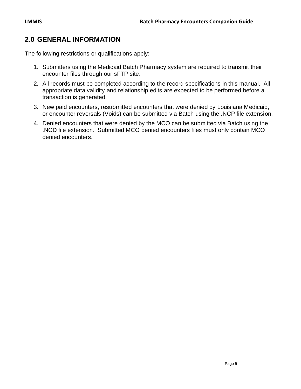# <span id="page-6-0"></span>**2.0 GENERAL INFORMATION**

The following restrictions or qualifications apply:

- 1. Submitters using the Medicaid Batch Pharmacy system are required to transmit their encounter files through our sFTP site.
- 2. All records must be completed according to the record specifications in this manual. All appropriate data validity and relationship edits are expected to be performed before a transaction is generated.
- 3. New paid encounters, resubmitted encounters that were denied by Louisiana Medicaid, or encounter reversals (Voids) can be submitted via Batch using the .NCP file extension.
- 4. Denied encounters that were denied by the MCO can be submitted via Batch using the .NCD file extension. Submitted MCO denied encounters files must only contain MCO denied encounters.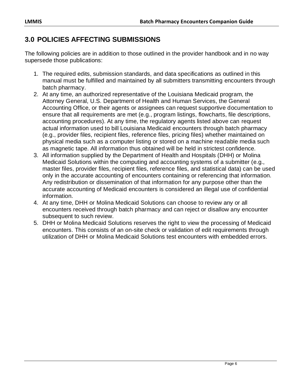# <span id="page-7-0"></span>**3.0 POLICIES AFFECTING SUBMISSIONS**

The following policies are in addition to those outlined in the provider handbook and in no way supersede those publications:

- 1. The required edits, submission standards, and data specifications as outlined in this manual must be fulfilled and maintained by all submitters transmitting encounters through batch pharmacy.
- 2. At any time, an authorized representative of the Louisiana Medicaid program, the Attorney General, U.S. Department of Health and Human Services, the General Accounting Office, or their agents or assignees can request supportive documentation to ensure that all requirements are met (e.g., program listings, flowcharts, file descriptions, accounting procedures). At any time, the regulatory agents listed above can request actual information used to bill Louisiana Medicaid encounters through batch pharmacy (e.g., provider files, recipient files, reference files, pricing files) whether maintained on physical media such as a computer listing or stored on a machine readable media such as magnetic tape. All information thus obtained will be held in strictest confidence.
- 3. All information supplied by the Department of Health and Hospitals (DHH) or Molina Medicaid Solutions within the computing and accounting systems of a submitter (e.g., master files, provider files, recipient files, reference files, and statistical data) can be used only in the accurate accounting of encounters containing or referencing that information. Any redistribution or dissemination of that information for any purpose other than the accurate accounting of Medicaid encounters is considered an illegal use of confidential information.
- 4. At any time, DHH or Molina Medicaid Solutions can choose to review any or all encounters received through batch pharmacy and can reject or disallow any encounter subsequent to such review.
- 5. DHH or Molina Medicaid Solutions reserves the right to view the processing of Medicaid encounters. This consists of an on-site check or validation of edit requirements through utilization of DHH or Molina Medicaid Solutions test encounters with embedded errors.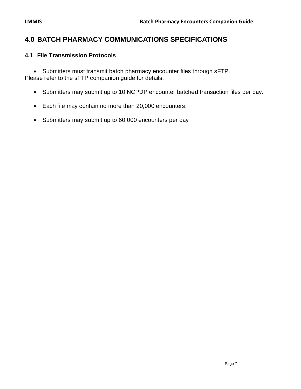# <span id="page-8-0"></span>**4.0 BATCH PHARMACY COMMUNICATIONS SPECIFICATIONS**

## <span id="page-8-1"></span>**4.1 File Transmission Protocols**

• Submitters must transmit batch pharmacy encounter files through sFTP. Please refer to the sFTP companion guide for details.

- Submitters may submit up to 10 NCPDP encounter batched transaction files per day.
- Each file may contain no more than 20,000 encounters.
- Submitters may submit up to 60,000 encounters per day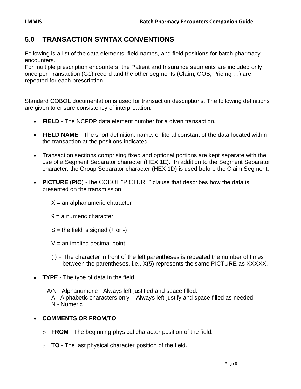# <span id="page-9-0"></span>**5.0 TRANSACTION SYNTAX CONVENTIONS**

Following is a list of the data elements, field names, and field positions for batch pharmacy encounters.

For multiple prescription encounters, the Patient and Insurance segments are included only once per Transaction (G1) record and the other segments (Claim, COB, Pricing …) are repeated for each prescription.

Standard COBOL documentation is used for transaction descriptions. The following definitions are given to ensure consistency of interpretation:

- **FIELD**  The NCPDP data element number for a given transaction.
- **FIELD NAME**  The short definition, name, or literal constant of the data located within the transaction at the positions indicated.
- Transaction sections comprising fixed and optional portions are kept separate with the use of a Segment Separator character (HEX 1E). In addition to the Segment Separator character, the Group Separator character (HEX 1D) is used before the Claim Segment.
- **PICTURE (PIC**) -The COBOL "PICTURE" clause that describes how the data is presented on the transmission.
	- $X =$ an alphanumeric character
	- 9 = a numeric character
	- $S =$  the field is signed  $(+)$  or  $-)$
	- $V =$  an implied decimal point
	- $( ) =$  The character in front of the left parentheses is repeated the number of times between the parentheses, i.e., X(5) represents the same PICTURE as XXXXX.
- **TYPE** The type of data in the field.
	- A/N Alphanumeric Always left-justified and space filled.
		- A Alphabetic characters only Always left-justify and space filled as needed.
	- N Numeric

#### • **COMMENTS OR FROM/TO**

- o **FROM**  The beginning physical character position of the field.
- o **TO**  The last physical character position of the field.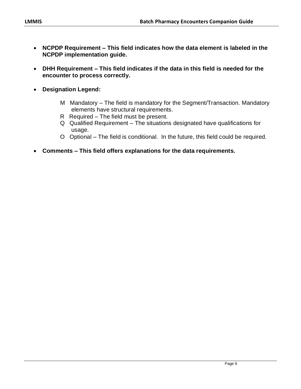- **NCPDP Requirement – This field indicates how the data element is labeled in the NCPDP implementation guide.**
- **DHH Requirement – This field indicates if the data in this field is needed for the encounter to process correctly.**
- **Designation Legend:**
	- M Mandatory The field is mandatory for the Segment/Transaction. Mandatory elements have structural requirements.
	- R Required The field must be present.
	- Q Qualified Requirement The situations designated have qualifications for usage.
	- O Optional The field is conditional. In the future, this field could be required.
- **Comments – This field offers explanations for the data requirements.**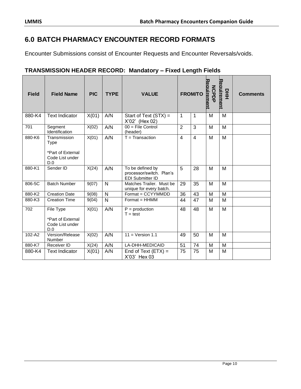# <span id="page-11-0"></span>**6.0 BATCH PHARMACY ENCOUNTER RECORD FORMATS**

Encounter Submissions consist of Encounter Requests and Encounter Reversals/voids.

#### **TRANSMISSION HEADER RECORD: Mandatory – Fixed Length Fields**

| <b>Field</b> | <b>Field Name</b>                                                          | <b>PIC</b> | <b>TYPE</b>  | <b>VALUE</b>                                                            |                | <b>FROM/TO</b> | Reauirement<br><b>NCPDF</b> | Reauirement<br>모<br>도 | <b>Comments</b> |
|--------------|----------------------------------------------------------------------------|------------|--------------|-------------------------------------------------------------------------|----------------|----------------|-----------------------------|-----------------------|-----------------|
| 880-K4       | <b>Text Indicator</b>                                                      | X(01)      | A/N          | Start of Text (STX) =<br>X'02' (Hex 02)                                 | 1              | 1              | м                           | M                     |                 |
| 701          | Segment<br>Identification                                                  | X(02)      | A/N          | $00 =$ File Control<br>(header)                                         | $\overline{2}$ | 3              | M                           | M                     |                 |
| 880-K6       | Transmission<br><b>Type</b><br>*Part of External<br>Code List under<br>D.0 | X(01)      | A/N          | $T =$ Transaction                                                       | $\overline{4}$ | $\overline{4}$ | M                           | M                     |                 |
| 880-K1       | Sender ID                                                                  | X(24)      | A/N          | To be defined by<br>processor/switch. Plan's<br><b>EDI Submitter ID</b> | 5              | 28             | M                           | M                     |                 |
| 806-5C       | <b>Batch Number</b>                                                        | 9(07)      | N            | Matches Trailer. Must be<br>unique for every batch.                     | 29             | 35             | M                           | M                     |                 |
| 880-K2       | <b>Creation Date</b>                                                       | 9(08)      | N            | Format = CCYYMMDD                                                       | 36             | 43             | M                           | M                     |                 |
| 880-K3       | <b>Creation Time</b>                                                       | 9(04)      | $\mathsf{N}$ | $Format = HHMM$                                                         | 44             | 47             | M                           | M                     |                 |
| 702          | File Type<br>*Part of External<br>Code List under<br>D.0                   | X(01)      | A/N          | $P =$ production<br>$T = test$                                          | 48             | 48             | M                           | M                     |                 |
| 102-A2       | Version/Release<br>Number                                                  | X(02)      | A/N          | $11 = Version 1.1$                                                      | 49             | 50             | M                           | M                     |                 |
| 880-K7       | Receiver ID                                                                | X(24)      | A/N          | LA-DHH-MEDICAID                                                         | 51             | 74             | M                           | M                     |                 |
| 880-K4       | <b>Text Indicator</b>                                                      | X(01)      | A/N          | End of Text $(ETX) =$<br>X'03' Hex 03                                   | 75             | 75             | M                           | M                     |                 |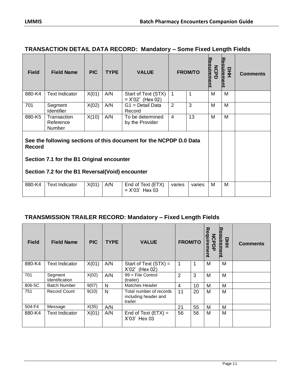#### **TRANSACTION DETAIL DATA RECORD: Mandatory – Some Fixed Length Fields**

| <b>Field</b>  | <b>Field Name</b>                                                                                                                                                   | <b>PIC</b> | <b>TYPE</b> | <b>VALUE</b>                              |                | <b>FROM/TO</b> | Reauirement<br><b>NCPD</b> | Reauirement<br>D<br>王 | <b>Comments</b> |
|---------------|---------------------------------------------------------------------------------------------------------------------------------------------------------------------|------------|-------------|-------------------------------------------|----------------|----------------|----------------------------|-----------------------|-----------------|
| 880-K4        | <b>Text Indicator</b>                                                                                                                                               | X(01)      | A/N         | Start of Text (STX)<br>$= X'02'$ (Hex 02) | 1              | 1              | M                          | M                     |                 |
| 701           | Segment<br>Identifier                                                                                                                                               | X(02)      | A/N         | $G1 = Detail Data$<br>Record              | 2              | 3              | м                          | м                     |                 |
| 880-K5        | Transaction<br>Reference<br>Number                                                                                                                                  | X(10)      | A/N         | To be determined<br>by the Provider       | $\overline{4}$ | 13             | м                          | м                     |                 |
| <b>Record</b> | See the following sections of this document for the NCPDP D.0 Data<br>Section 7.1 for the B1 Original encounter<br>Section 7.2 for the B1 Reversal (Void) encounter |            |             |                                           |                |                |                            |                       |                 |
|               |                                                                                                                                                                     |            |             |                                           |                |                |                            |                       |                 |
| 880-K4        | <b>Text Indicator</b>                                                                                                                                               | X(01)      | A/N         | End of Text (ETX)<br>$= X'03'$ Hex 03     | varies         | varies         | м                          | м                     |                 |

## **TRANSMISSION TRAILER RECORD: Mandatory – Fixed Length Fields**

| <b>Field</b> | <b>Field Name</b>                | <b>PIC</b> | <b>TYPE</b> | <b>VALUE</b>                                               | <b>FROM/TO</b> |    | Requirement<br><b>NCPDP</b> | Reauirement<br>뫂 | <b>Comments</b> |
|--------------|----------------------------------|------------|-------------|------------------------------------------------------------|----------------|----|-----------------------------|------------------|-----------------|
| 880-K4       | <b>Text Indicator</b>            | X(01)      | A/N         | Start of Text (STX) =<br>X'02' (Hex 02)                    | 1              | 1  | M                           | M                |                 |
| 701          | Segment<br><b>Identification</b> | X(02)      | A/N         | $99$ = File Control<br>(trailer)                           | 2              | 3  | м                           | M                |                 |
| 806-5C       | <b>Batch Number</b>              | 9(07)      | N           | Matches Header                                             | 4              | 10 | M                           | M                |                 |
| 751          | <b>Record Count</b>              | 9(10)      | N           | Total number of records<br>including header and<br>trailer | 11             | 20 | м                           | M                |                 |
| 504-F4       | Message                          | X(35)      | A/N         |                                                            | 21             | 55 | м                           | M                |                 |
| 880-K4       | <b>Text Indicator</b>            | X(01)      | A/N         | End of Text $(ETX) =$<br>X'03' Hex 03                      | 56             | 56 | M                           | M                |                 |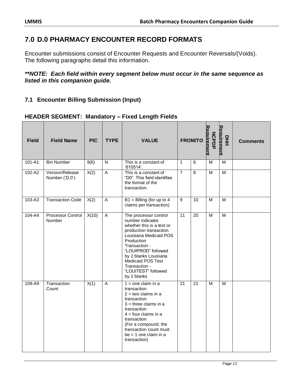# <span id="page-13-0"></span>**7.0 D.0 PHARMACY ENCOUNTER RECORD FORMATS**

Encounter submissions consist of Encounter Requests and Encounter Reversals/(Voids). The following paragraphs detail this information.

#### *\*\*NOTE: Each field within every segment below must occur in the same sequence as listed in this companion guide.*

## <span id="page-13-1"></span>**7.1 Encounter Billing Submission (Input)**

#### **HEADER SEGMENT: Mandatory – Fixed Length Fields**

| <b>Field</b> | <b>Field Name</b>                 | <b>PIC</b> | <b>TYPE</b>               | <b>VALUE</b>                                                                                                                                                                                                                                                                           |                | <b>FROM/TO</b> | <b>NCPDP</b><br><b>irement</b> | Reauirement<br>모<br>도 | <b>Comments</b> |
|--------------|-----------------------------------|------------|---------------------------|----------------------------------------------------------------------------------------------------------------------------------------------------------------------------------------------------------------------------------------------------------------------------------------|----------------|----------------|--------------------------------|-----------------------|-----------------|
| 101-A1       | <b>Bin Number</b>                 | 9(6)       | N                         | This is a constant of<br>'610514'.                                                                                                                                                                                                                                                     | $\mathbf{1}$   | $6\phantom{a}$ | M                              | M                     |                 |
| 102-A2       | Version/Release<br>Number ('D.0') | X(2)       | $\mathsf{A}$              | This is a constant of<br>"D0". This field identifies<br>the format of the<br>transaction.                                                                                                                                                                                              | $\overline{7}$ | 8              | M                              | M                     |                 |
| 103-A3       | <b>Transaction Code</b>           | X(2)       | $\mathsf A$               | $B1 =$ Billing (for up to 4<br>claims per transaction)                                                                                                                                                                                                                                 | $\overline{9}$ | 10             | M                              | M                     |                 |
| 104-A4       | Processor Control<br>Number       | X(10)      | $\boldsymbol{\mathsf{A}}$ | The processor control<br>number indicates<br>whether this is a test or<br>production transaction.<br>Louisiana Medicaid POS<br>Production<br>Transaction -<br>"LOUIPROD" followed<br>by 2 blanks Louisiana<br>Medicaid POS Test<br>Transaction -<br>"LOUITEST" followed<br>by 2 blanks | 11             | 20             | M                              | M                     |                 |
| 109-A9       | Transaction<br>Count              | X(1)       | A                         | $1 =$ one claim in a<br>transaction<br>$2 = two claims in a$<br>transaction<br>$3 =$ three claims in a<br>transaction<br>$4 =$ four claims in a<br>transaction<br>(For a compound, the<br>transaction count must<br>$be = 1$ one claim in a<br>transaction)                            | 21             | 21             | M                              | M                     |                 |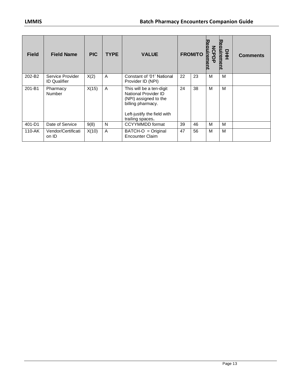| <b>Field</b> | <b>Field Name</b>                       | <b>PIC</b> | <b>TYPE</b> | <b>VALUE</b>                                                                                                                                      |    | <b>FROM/TO</b> | こので<br>rement<br>ᄝ | auiremen<br>모<br>王 | <b>Comments</b> |
|--------------|-----------------------------------------|------------|-------------|---------------------------------------------------------------------------------------------------------------------------------------------------|----|----------------|--------------------|--------------------|-----------------|
| 202-B2       | Service Provider<br><b>ID Qualifier</b> | X(2)       | A           | Constant of '01' National<br>Provider ID (NPI)                                                                                                    | 22 | 23             | м                  | м                  |                 |
| 201-B1       | Pharmacy<br>Number                      | X(15)      | A           | This will be a ten-digit<br>National Provider ID<br>(NPI) assigned to the<br>billing pharmacy.<br>Left-justify the field with<br>trailing spaces. | 24 | 38             | м                  | M                  |                 |
| 401-D1       | Date of Service                         | 9(8)       | N           | <b>CCYYMMDD</b> format                                                                                                                            | 39 | 46             | м                  | M                  |                 |
| 110-AK       | Vendor/Certificati<br>on ID             | X(10)      | A           | $BATCH-O = Original$<br><b>Encounter Claim</b>                                                                                                    | 47 | 56             | M                  | M                  |                 |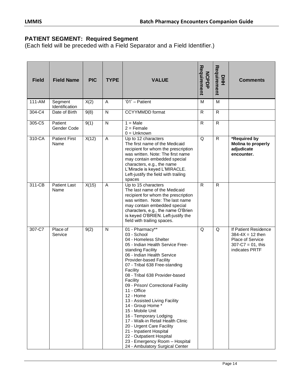#### **PATIENT SEGMENT: Required Segment**

| <b>Field</b> | <b>Field Name</b>            | <b>PIC</b> | <b>TYPE</b>  | <b>VALUE</b>                                                                                                                                                                                                                                                                                                                                                                                                                                                                                                                                                                                                                             | Requirement<br><b>NCPDP</b> | Requirement<br>뫂 | <b>Comments</b>                                                                                                     |
|--------------|------------------------------|------------|--------------|------------------------------------------------------------------------------------------------------------------------------------------------------------------------------------------------------------------------------------------------------------------------------------------------------------------------------------------------------------------------------------------------------------------------------------------------------------------------------------------------------------------------------------------------------------------------------------------------------------------------------------------|-----------------------------|------------------|---------------------------------------------------------------------------------------------------------------------|
| 111-AM       | Segment<br>Identification    | X(2)       | A            | $'01'$ – Patient                                                                                                                                                                                                                                                                                                                                                                                                                                                                                                                                                                                                                         | M                           | M                |                                                                                                                     |
| 304-C4       | Date of Birth                | 9(8)       | N            | <b>CCYYMMDD</b> format                                                                                                                                                                                                                                                                                                                                                                                                                                                                                                                                                                                                                   | $\mathsf{R}$                | $\mathsf{R}$     |                                                                                                                     |
| 305-C5       | Patient<br>Gender Code       | 9(1)       | $\mathsf{N}$ | $1 = Male$<br>$2 =$ Female<br>$0 =$ Unknown                                                                                                                                                                                                                                                                                                                                                                                                                                                                                                                                                                                              | R                           | R                |                                                                                                                     |
| 310-CA       | <b>Patient First</b><br>Name | X(12)      | A            | Up to 12 characters<br>The first name of the Medicaid<br>recipient for whom the prescription<br>was written. Note: The first name<br>may contain embedded special<br>characters, e.g., the name<br>L'Miracle is keyed L'MIRACLE.<br>Left-justify the field with trailing<br>spaces                                                                                                                                                                                                                                                                                                                                                       | Q                           | R                | *Required by<br><b>Molina to properly</b><br>adjudicate<br>encounter.                                               |
| 311-CB       | <b>Patient Last</b><br>Name  | X(15)      | A            | Up to 15 characters<br>The last name of the Medicaid<br>recipient for whom the prescription<br>was written. Note: The last name<br>may contain embedded special<br>characters, e.g., the name O'Brien<br>is keyed O'BRIEN. Left-justify the<br>field with trailing spaces.                                                                                                                                                                                                                                                                                                                                                               | $\mathsf{R}$                | R                |                                                                                                                     |
| 307-C7       | Place of<br>Service          | 9(2)       | N            | 01 - Pharmacy**<br>03 - School<br>04 - Homeless Shelter<br>05 - Indian Health Service Free-<br>standing Facility<br>06 - Indian Health Service<br>Provider-based Facility<br>07 - Tribal 638 Free-standing<br>Facility<br>08 - Tribal 638 Provider-based<br>Facility<br>09 - Prison/ Correctional Facility<br>11 - Office<br>12 - Home<br>13 - Assisted Living Facility<br>14 - Group Home *<br>15 - Mobile Unit<br>16 - Temporary Lodging<br>17 - Walk-in Retail Health Clinic<br>20 - Urgent Care Facility<br>21 - Inpatient Hospital<br>22 - Outpatient Hospital<br>23 - Emergency Room - Hospital<br>24 - Ambulatory Surgical Center | Q                           | Q                | If Patient Residence<br>$384 - 4X = 12$ then<br><b>Place of Service</b><br>$307 - C7 = 01$ , this<br>indicates PRTF |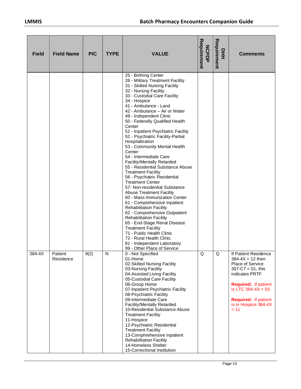| <b>Field</b> | <b>Field Name</b>    | <b>PIC</b> | <b>TYPE</b> | <b>VALUE</b>                                                                                                                                                                                                                                                                                                                                                                                                                                                                                                                                                                                                                                                                                                                                                                                                                                                                                                                                                                                                                                                    | Requirement<br><b>NCPDP</b> | Requirement<br>모<br>王 | <b>Comments</b>                                                                                                                                                                                                                    |
|--------------|----------------------|------------|-------------|-----------------------------------------------------------------------------------------------------------------------------------------------------------------------------------------------------------------------------------------------------------------------------------------------------------------------------------------------------------------------------------------------------------------------------------------------------------------------------------------------------------------------------------------------------------------------------------------------------------------------------------------------------------------------------------------------------------------------------------------------------------------------------------------------------------------------------------------------------------------------------------------------------------------------------------------------------------------------------------------------------------------------------------------------------------------|-----------------------------|-----------------------|------------------------------------------------------------------------------------------------------------------------------------------------------------------------------------------------------------------------------------|
|              |                      |            |             | 25 - Birthing Center<br>26 - Military Treatment Facility<br>31 - Skilled Nursing Facility<br>32 - Nursing Facility<br>33 - Custodial Care Facility<br>34 - Hospice<br>41 - Ambulance - Land<br>42 - Ambulance - Air or Water<br>49 - Independent Clinic<br>50 - Federally Qualified Health<br>Center<br>51 - Inpatient Psychiatric Facility<br>52 - Psychiatric Facility-Partial<br>Hospitalization<br>53 - Community Mental Health<br>Center<br>54 - Intermediate Care<br>Facility/Mentally Retarded<br>55 - Residential Substance Abuse<br><b>Treatment Facility</b><br>56 - Psychiatric Residential<br><b>Treatment Center</b><br>57- Non-residential Substance<br><b>Abuse Treatment Facility</b><br>60 - Mass Immunization Center<br>61 - Comprehensive Inpatient<br><b>Rehabilitation Facility</b><br>62 - Comprehensive Outpatient<br><b>Rehabilitation Facility</b><br>65 - End-Stage Renal Disease<br><b>Treatment Facility</b><br>71 - Public Health Clinic<br>72 - Rural Health Clinic<br>81 - Independent Laboratory<br>99 - Other Place of Service |                             |                       |                                                                                                                                                                                                                                    |
| 384-4X       | Patient<br>Residence | 9(2)       | N           | 0 -- Not Specified<br>01-Home<br>02-Skilled Nursing Facility<br>03-Nursing Facility<br>04-Assisted Living Facility<br>05-Custodial Care Facility<br>06-Group Home<br>07-Inpatient Psychiatric Facility<br>08-Psychiatric Facility<br>09-Intermediate Care<br>Facility/Mentally Retarded<br>10-Residential Substance Abuse<br><b>Treatment Facility</b><br>11-Hospice<br>12-Psychiatric Residential<br><b>Treatment Facility</b><br>13-Comphrehensive Inpatient<br><b>Rehabilitation Facility</b><br>14-Homeless Shelter<br>15-Correctional Institution                                                                                                                                                                                                                                                                                                                                                                                                                                                                                                          | Q                           | Q                     | If Patient Residence<br>$384 - 4X = 12$ then<br>Place of Service<br>$307-C7 = 01$ , this<br>indicates PRTF<br><b>Required: If patient</b><br>is LTC $384-4X = 03$<br><b>Required: If patient</b><br>is in Hospice 384-4X<br>$= 11$ |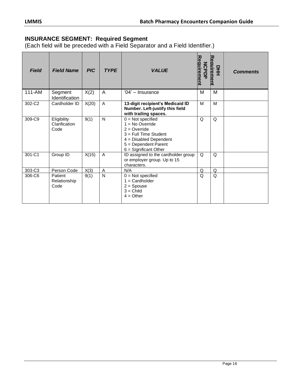#### **INSURANCE SEGMENT: Required Segment**

| <b>Field</b> | <b>Field Name</b>                    | <b>PIC</b> | <b>TYPE</b>  | <b>VALUE</b>                                                                                                                                                     | Requirement<br><b>NCPDP</b> | Reauirement<br>$rac{Q}{dE}$ | <b>Comments</b> |
|--------------|--------------------------------------|------------|--------------|------------------------------------------------------------------------------------------------------------------------------------------------------------------|-----------------------------|-----------------------------|-----------------|
| 111-AM       | Segment<br>Identification            | X(2)       | A            | '04' - Insurance                                                                                                                                                 | M                           | M                           |                 |
| 302-C2       | Cardholder ID                        | X(20)      | A            | 13-digit recipient's Medicaid ID<br>Number. Left-justify this field<br>with trailing spaces.                                                                     | M                           | M                           |                 |
| 309-C9       | Eligibility<br>Clarification<br>Code | 9(1)       | N            | $0 = Not specified$<br>$=$ No Override<br>$2 =$ Override<br>3 = Full Time Student<br>$4 = Disabled$ Dependent<br>5 = Dependent Parent<br>$6 =$ Significant Other | Q                           | Q                           |                 |
| 301-C1       | Group ID                             | X(15)      | A            | ID assigned to the cardholder group<br>or employer group. Up to 15<br>characters.                                                                                | $\Omega$                    | Q                           |                 |
| 303-C3       | Person Code                          | X(3)       | A            | N/A                                                                                                                                                              | Q                           | Q                           |                 |
| 306-C6       | Patient<br>Relationship<br>Code      | 9(1)       | $\mathsf{N}$ | $0 = Not specified$<br>$=$ Cardholder<br>$2 =$ Spouse<br>$3 =$ Child<br>$4 = Other$                                                                              | Q                           | Q                           |                 |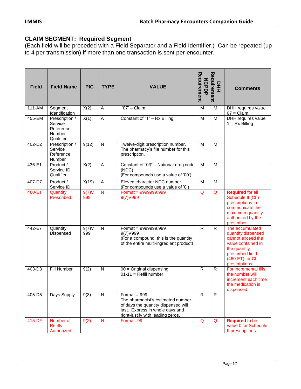## **CLAIM SEGMENT: Required Segment**

(Each field will be preceded with a Field Separator and a Field Identifier.) Can be repeated (up to 4 per transmission) if more than one transaction is sent per encounter.

| <b>Field</b> | <b>Field Name</b>                                                    | <b>PIC</b>   | <b>TYPE</b>    | <b>VALUE</b>                                                                                                                                                       | Requirement<br><b>NCPDP</b> | Reauirement<br>뫂<br>도 | <b>Comments</b>                                                                                                                                            |
|--------------|----------------------------------------------------------------------|--------------|----------------|--------------------------------------------------------------------------------------------------------------------------------------------------------------------|-----------------------------|-----------------------|------------------------------------------------------------------------------------------------------------------------------------------------------------|
| 111-AM       | Segment<br>Identification                                            | X(2)         | A              | $'07'$ - Claim                                                                                                                                                     | M                           | M                     | DHH requires value<br>$07 = Claim.$                                                                                                                        |
| 455-EM       | Prescription /<br>Service<br>Reference<br><b>Number</b><br>Qualifier | X(1)         | $\overline{A}$ | Constant of "1" - Rx Billing                                                                                                                                       | M                           | M                     | DHH requires value<br>$1 = Rx$ Billing                                                                                                                     |
| 402-D2       | Prescription /<br>Service<br>Reference<br>Number                     | 9(12)        | $\mathsf{N}$   | Twelve-digit prescription number.<br>The pharmacy's file number for this<br>prescription.                                                                          | M                           | M                     |                                                                                                                                                            |
| 436-E1       | Product /<br>Service ID<br>Qualifier                                 | X(2)         | A              | Constant of "03" - National drug code<br>(NDC)<br>(For compounds use a value of '00')                                                                              | M                           | M                     |                                                                                                                                                            |
| 407-D7       | Product /<br>Service ID                                              | X(19)        | A              | Eleven character NDC number<br>(For compounds use a value of '0')                                                                                                  | M                           | M                     |                                                                                                                                                            |
| 460-ET       | Quantity<br>Prescribed                                               | 9(7)V<br>999 | $\mathsf{N}$   | Format = $9999999.999$<br>9(7) V999                                                                                                                                | Q                           | Q                     | <b>Required for all</b><br>Schedule II (CII)<br>prescriptions to<br>communicate the<br>maximum quantity<br>authorized by the<br>prescriber.                |
| 442-E7       | Quantity<br>Dispensed                                                | 9(7)V<br>999 | $\mathsf{N}$   | Format = $9999999.999$<br>9(7) V999<br>(For a compound, this is the quantity<br>of the entire multi-ingredient product)                                            | $\mathsf{R}$                | $\mathsf{R}$          | The accumulated<br>quantity dispensed<br>cannot exceed the<br>value contained in<br>the quantity<br>prescribed field<br>(460-ET) for CII<br>prescriptions. |
| 403-D3       | Fill Number                                                          | 9(2)         | N              | $00 =$ Original dispensing<br>$01-11 =$ Refill number                                                                                                              | $\mathsf{R}$                | $\mathsf{R}$          | For incremental fills,<br>the number will<br>increment each time<br>the medication is<br>dispensed.                                                        |
| 405-D5       | Days Supply                                                          | 9(3)         | N              | Format = $999$<br>The pharmacist's estimated number<br>of days the quantity dispensed will<br>last. Express in whole days and<br>right-justify with leading zeros. | $\mathsf{R}$                | $\mathsf{R}$          |                                                                                                                                                            |
| 415-DF       | Number of<br><b>Refills</b><br>Authorized                            | 9(2)         | N              | Format=99                                                                                                                                                          | Q                           | Q                     | <b>Required to be</b><br>value 0 for Schedule<br>Il prescriptions.                                                                                         |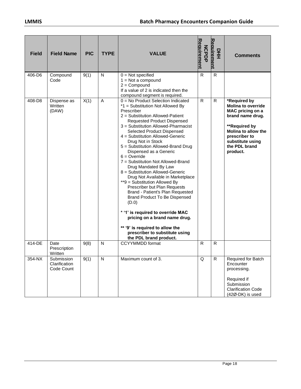| <b>Field</b> | <b>Field Name</b>                         | <b>PIC</b> | <b>TYPE</b>  | <b>VALUE</b>                                                                                                                                                                                                                                                                                                                                                                                                                                                                                                                                                                                                                                                                                                                                                                                                                        | Requirement<br><b>NCPDP</b> | Reauirement<br>모<br>도 | <b>Comments</b>                                                                                                                                                                                    |
|--------------|-------------------------------------------|------------|--------------|-------------------------------------------------------------------------------------------------------------------------------------------------------------------------------------------------------------------------------------------------------------------------------------------------------------------------------------------------------------------------------------------------------------------------------------------------------------------------------------------------------------------------------------------------------------------------------------------------------------------------------------------------------------------------------------------------------------------------------------------------------------------------------------------------------------------------------------|-----------------------------|-----------------------|----------------------------------------------------------------------------------------------------------------------------------------------------------------------------------------------------|
| 406-D6       | Compound<br>Code                          | 9(1)       | N            | $0 = Not specified$<br>$1 = Not$ a compound<br>$2 =$ Compound<br>If a value of 2 is indicated then the<br>compound segment is required.                                                                                                                                                                                                                                                                                                                                                                                                                                                                                                                                                                                                                                                                                             | $\mathsf{R}$                | $\mathsf{R}$          |                                                                                                                                                                                                    |
| 408-D8       | Dispense as<br>Written<br>(DAW)           | X(1)       | A            | 0 = No Product Selection Indicated<br>*1 = Substitution Not Allowed By<br>Prescriber<br>2 = Substitution Allowed-Patient<br>Requested Product Dispensed<br>3 = Substitution Allowed-Pharmacist<br>Selected Product Dispensed<br>4 = Substitution Allowed-Generic<br>Drug Not in Stock<br>5 = Substitution Allowed-Brand Drug<br>Dispensed as a Generic<br>$6 =$ Override<br>7 = Substitution Not Allowed-Brand<br>Drug Mandated By Law<br>8 = Substitution Allowed-Generic<br>Drug Not Available in Marketplace<br>**9 = Substitution Allowed By<br>Prescriber but Plan Requests<br>Brand - Patient's Plan Requested<br>Brand Product To Be Dispensed<br>(D.0)<br>* '1' is required to override MAC<br>pricing on a brand name drug.<br>** '9' is required to allow the<br>prescriber to substitute using<br>the PDL brand product. | $\mathsf{R}$                | $\mathsf{R}$          | *Required by<br><b>Molina to override</b><br>MAC pricing on a<br>brand name drug.<br>**Required by<br><b>Molina to allow the</b><br>prescriber to<br>substitute using<br>the PDL brand<br>product. |
| 414-DE       | Date<br>Prescription<br>Written           | 9(8)       | $\mathsf{N}$ | <b>CCYYMMDD</b> format                                                                                                                                                                                                                                                                                                                                                                                                                                                                                                                                                                                                                                                                                                                                                                                                              | $\mathsf{R}$                | R                     |                                                                                                                                                                                                    |
| 354-NX       | Submission<br>Clarification<br>Code Count | 9(1)       | N            | Maximum count of 3.                                                                                                                                                                                                                                                                                                                                                                                                                                                                                                                                                                                                                                                                                                                                                                                                                 | Q                           | $\mathsf{R}$          | Required for Batch<br>Encounter<br>processing.<br>Required if<br>Submission<br><b>Clarification Code</b><br>(42Ø-DK) is used                                                                       |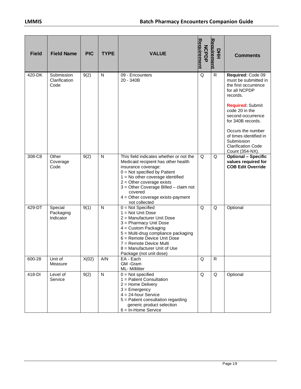| <b>Field</b> | <b>Field Name</b>                   | <b>PIC</b> | <b>TYPE</b>  | <b>VALUE</b>                                                                                                                                                                                                                                                                                                             | Requirement<br><b>NCPDP</b> | Reauirement<br>모<br>도 | <b>Comments</b>                                                                                           |
|--------------|-------------------------------------|------------|--------------|--------------------------------------------------------------------------------------------------------------------------------------------------------------------------------------------------------------------------------------------------------------------------------------------------------------------------|-----------------------------|-----------------------|-----------------------------------------------------------------------------------------------------------|
| 420-DK       | Submission<br>Clarification<br>Code | 9(2)       | $\mathsf{N}$ | 09 - Encounters<br>20 - 340B                                                                                                                                                                                                                                                                                             | Q                           | $\mathsf{R}$          | Required: Code 09<br>must be submitted in<br>the first occurrence<br>for all NCPDP<br>records.            |
|              |                                     |            |              |                                                                                                                                                                                                                                                                                                                          |                             |                       | <b>Required: Submit</b><br>code 20 in the<br>second occurrence<br>for 340B records.                       |
|              |                                     |            |              |                                                                                                                                                                                                                                                                                                                          |                             |                       | Occurs the number<br>of times identified in<br>Submission<br><b>Clarification Code</b><br>Count (354-NX). |
| 308-C8       | Other<br>Coverage<br>Code           | 9(2)       | $\mathsf{N}$ | This field indicates whether or not the<br>Medicaid recipient has other health<br>insurance coverage:<br>$0 = Not specified by Patient$<br>$1 = No$ other coverage identified<br>$2 =$ Other coverage exists<br>3 = Other Coverage Billed - claim not<br>covered<br>$4$ = Other coverage exists-payment<br>not collected | Q                           | Q                     | <b>Optional - Specific</b><br>values required for<br><b>COB Edit Override</b>                             |
| 429-DT       | Special<br>Packaging<br>Indicator   | 9(1)       | $\mathsf{N}$ | $0 = Not$ Specified<br>$1 = Not Unit Does$<br>2 = Manufacturer Unit Dose<br>3 = Pharmacy Unit Dose<br>$4 =$ Custom Packaging<br>5 = Multi-drug compliance packaging<br>6 = Remote Device Unit Dose<br>7 = Remote Device Multi<br>8 = Manufacturer Unit of Use<br>Package (not unit dose)                                 | Q                           | Q                     | Optional                                                                                                  |
| 600-28       | Unit of<br>Measure                  | X(02)      | A/N          | EA - Each<br>GM-Gram<br>ML- Milliliter                                                                                                                                                                                                                                                                                   | Q                           | R                     |                                                                                                           |
| 418-DI       | Level of<br>Service                 | 9(2)       | N            | $0 = Not specified$<br>1 = Patient Consultation<br>$2 =$ Home Delivery<br>$3 =$ Emergency<br>$4 = 24$ -hour Service<br>5 = Patient consultation regarding<br>generic product selection<br>$6 = In$ -Home Service                                                                                                         | Q                           | Q                     | Optional                                                                                                  |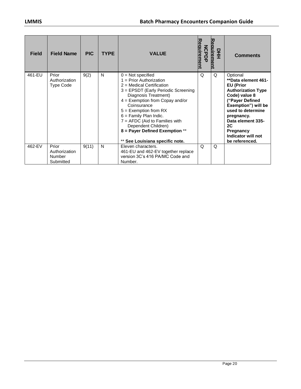| <b>Field</b> | <b>Field Name</b>                                    | <b>PIC</b> | <b>TYPE</b> | <b>VALUE</b>                                                                                                                                                                                                                                                                                                                                                                           | <u>quirement</u><br><b>NCPDF</b> | eauireme<br>뫂 | <b>Comments</b>                                                                                                                                                                                                                                                |
|--------------|------------------------------------------------------|------------|-------------|----------------------------------------------------------------------------------------------------------------------------------------------------------------------------------------------------------------------------------------------------------------------------------------------------------------------------------------------------------------------------------------|----------------------------------|---------------|----------------------------------------------------------------------------------------------------------------------------------------------------------------------------------------------------------------------------------------------------------------|
| 461-EU       | Prior<br>Authorization<br><b>Type Code</b>           | 9(2)       | N           | $0 = Not specified$<br>$1 =$ Prior Authorization<br>$2$ = Medical Certification<br>3 = EPSDT (Early Periodic Screening<br>Diagnosis Treatment)<br>$4 =$ Exemption from Copay and/or<br>Coinsurance<br>$5 =$ Exemption from RX<br>$6 =$ Family Plan Indic.<br>$7 = AFDC$ (Aid to Families with<br>Dependent Children)<br>8 = Payer Defined Exemption **<br>See Louisiana specific note. | Q                                | Q             | Optional<br>**Data element 461-<br><b>EU</b> (Prior<br><b>Authorization Type</b><br>Code) value 8<br>("Payer Defined<br>Exemption") will be<br>used to determine<br>pregnancy.<br>Data element 335-<br>2C<br>Pregnancy<br>Indicator will not<br>be referenced. |
| 462-EV       | Prior<br>Authorization<br><b>Number</b><br>Submitted | 9(11)      | N           | Eleven characters.<br>461-EU and 462-EV together replace<br>version 3C's 416 PA/MC Code and<br>Number.                                                                                                                                                                                                                                                                                 | Q                                | Q             |                                                                                                                                                                                                                                                                |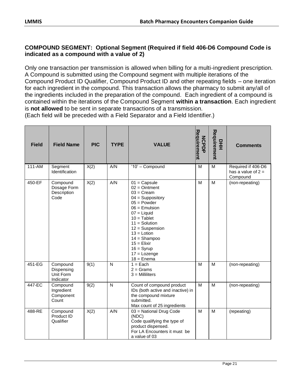#### **COMPOUND SEGMENT: Optional Segment (Required if field 406-D6 Compound Code is indicated as a compound with a value of 2)**

Only one transaction per transmission is allowed when billing for a multi-ingredient prescription. A Compound is submitted using the Compound segment with multiple iterations of the Compound Product ID Qualifier, Compound Product ID and other repeating fields – one iteration for each ingredient in the compound. This transaction allows the pharmacy to submit any/all of the ingredients included in the preparation of the compound. Each ingredient of a compound is contained within the iterations of the Compound Segment **within a transaction**. Each ingredient is **not allowed** to be sent in separate transactions of a transmission.

| <b>Field</b> | <b>Field Name</b>                                | <b>PIC</b> | <b>TYPE</b>  | <b>VALUE</b>                                                                                                                                                                                                                                                                                       | Requirement<br><b>NCPDP</b> | Requirement<br>뫂 | <b>Comments</b>                                        |
|--------------|--------------------------------------------------|------------|--------------|----------------------------------------------------------------------------------------------------------------------------------------------------------------------------------------------------------------------------------------------------------------------------------------------------|-----------------------------|------------------|--------------------------------------------------------|
| $111 - AM$   | Segment<br>Identification                        | X(2)       | A/N          | ' $10'$ - Compound                                                                                                                                                                                                                                                                                 | M                           | M                | Required if 406-D6<br>has a value of $2 =$<br>Compound |
| 450-EF       | Compound<br>Dosage Form<br>Description<br>Code   | X(2)       | A/N          | $01 = \text{Capsule}$<br>$02 =$ Ointment<br>$03 = C$ ream<br>$04 =$ Suppository<br>$05 = Power$<br>$06$ = Emulsion<br>$07 =$ Liquid<br>$10 =$ Tablet<br>$11 =$ Solution<br>$12 =$ Suspension<br>$13 =$ Lotion<br>$14 =$ Shampoo<br>$15 =$ Elixir<br>$16 = Syrup$<br>$17 =$ Lozenge<br>$18 =$ Enema | M                           | M                | (non-repeating)                                        |
| 451-EG       | Compound<br>Dispensing<br>Unit Form<br>Indicator | 9(1)       | $\mathsf{N}$ | $1 = Each$<br>$2 =$ Grams<br>$3 =$ Milliliters                                                                                                                                                                                                                                                     | M                           | M                | (non-repeating)                                        |
| 447-EC       | Compound<br>Ingredient<br>Component<br>Count     | 9(2)       | $\mathsf{N}$ | Count of compound product<br>IDs (both active and inactive) in<br>the compound mixture<br>submitted.<br>Max count of 25 ingredients                                                                                                                                                                | M                           | M                | (non-repeating)                                        |
| 488-RE       | Compound<br>Product ID<br>Qualifier              | X(2)       | A/N          | 03 = National Drug Code<br>(NDC)<br>Code qualifying the type of<br>product dispensed.<br>For LA Encounters it must be<br>a value of 03                                                                                                                                                             | M                           | M                | (repeating)                                            |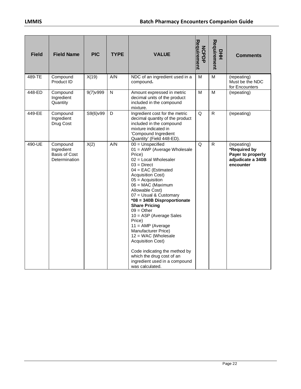| <b>Field</b> | <b>Field Name</b>                                               | <b>PIC</b>       | <b>TYPE</b> | <b>VALUE</b>                                                                                                                                                                                                                                                                                                                                                                                                                                                                                                                                                                               | Requirement<br><b>NCPDP</b> | Requirement<br>뫂 | <b>Comments</b>                                                                    |
|--------------|-----------------------------------------------------------------|------------------|-------------|--------------------------------------------------------------------------------------------------------------------------------------------------------------------------------------------------------------------------------------------------------------------------------------------------------------------------------------------------------------------------------------------------------------------------------------------------------------------------------------------------------------------------------------------------------------------------------------------|-----------------------------|------------------|------------------------------------------------------------------------------------|
| 489-TE       | Compound<br>Product ID                                          | X(19)            | A/N         | NDC of an ingredient used in a<br>compound.                                                                                                                                                                                                                                                                                                                                                                                                                                                                                                                                                | м                           | м                | (repeating)<br>Must be the NDC<br>for Encounters                                   |
| 448-ED       | Compound<br>Ingredient<br>Quantity                              | $9(7)$ $v$ $999$ | N           | Amount expressed in metric<br>decimal units of the product<br>included in the compound<br>mixture.                                                                                                                                                                                                                                                                                                                                                                                                                                                                                         | M                           | M                | (repeating)                                                                        |
| 449-EE       | Compound<br>Ingredient<br>Drug Cost                             | S9(6)v99         | D           | Ingredient cost for the metric<br>decimal quantity of the product<br>included in the compound<br>mixture indicated in<br>'Compound Ingredient<br>Quantity' (Field 448-ED).                                                                                                                                                                                                                                                                                                                                                                                                                 | Q                           | $\mathsf{R}$     | (repeating)                                                                        |
| 490-UE       | Compound<br>Ingredient<br><b>Basis of Cost</b><br>Determination | X(2)             | A/N         | $00 =$ Unspecified<br>01 = AWP (Average Wholesale<br>Price)<br>02 = Local Wholesaler<br>$03 = Direct$<br>$04 = EAC$ (Estimated<br><b>Acquisition Cost)</b><br>$05 =$ Acquisition<br>06 = MAC (Maximum<br>Allowable Cost)<br>07 = Usual & Customary<br>*08 = 340B Disproportionate<br><b>Share Pricing</b><br>$09 =$ Other<br>$10 = ASP$ (Average Sales<br>Price)<br>$11 = AMP$ (Average<br><b>Manufacturer Price)</b><br>12 = WAC (Wholesale<br><b>Acquisition Cost)</b><br>Code indicating the method by<br>which the drug cost of an<br>ingredient used in a compound<br>was calculated. | Q                           | $\mathsf{R}$     | (repeating)<br>*Required by<br>Payer to properly<br>adjudicate a 340B<br>encounter |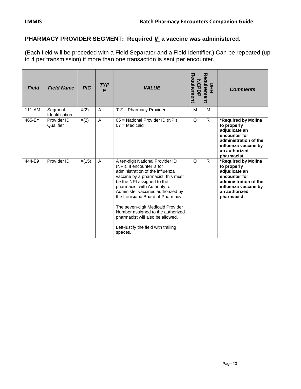## **PHARMACY PROVIDER SEGMENT: Required** *IF* **a vaccine was administered.**

(Each field will be preceded with a Field Separator and a Field Identifier.) Can be repeated (up to 4 per transmission) if more than one transaction is sent per encounter.

| <b>Field</b> | <b>Field Name</b>                | <b>PIC</b> | <b>TYP</b><br>E | <b>VALUE</b>                                                                                                                                                                                                                                                                                                                                                                                                                                    | equirement<br><b>NCPDF</b> | Reauirement<br>뫂 | <b>Comments</b>                                                                                                                                       |
|--------------|----------------------------------|------------|-----------------|-------------------------------------------------------------------------------------------------------------------------------------------------------------------------------------------------------------------------------------------------------------------------------------------------------------------------------------------------------------------------------------------------------------------------------------------------|----------------------------|------------------|-------------------------------------------------------------------------------------------------------------------------------------------------------|
| $111 - AM$   | Segment<br><b>Identification</b> | X(2)       | A               | '02' - Pharmacy Provider                                                                                                                                                                                                                                                                                                                                                                                                                        | M                          | M                |                                                                                                                                                       |
| 465-EY       | Provider ID<br>Qualifier         | X(2)       | A               | 05 = National Provider ID (NPI)<br>$07 =$ Medicaid                                                                                                                                                                                                                                                                                                                                                                                              | Q                          | $\mathsf{R}$     | *Required by Molina<br>to properly<br>adjudicate an<br>encounter for<br>administration of the<br>influenza vaccine by<br>an authorized<br>pharmacist. |
| 444-E9       | Provider ID                      | X(15)      | A               | A ten-digit National Provider ID<br>(NPI). If encounter is for<br>administration of the influenza<br>vaccine by a pharmacist, this must<br>be the NPI assigned to the<br>pharmacist with Authority to<br>Administer vaccines authorized by<br>the Louisiana Board of Pharmacy.<br>The seven-digit Medicaid Provider<br>Number assigned to the authorized<br>pharmacist will also be allowed.<br>Left-justify the field with trailing<br>spaces. | Q                          | R                | *Required by Molina<br>to properly<br>adjudicate an<br>encounter for<br>administration of the<br>influenza vaccine by<br>an authorized<br>pharmacist. |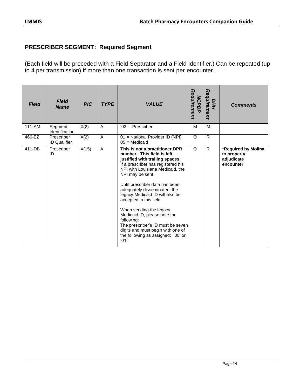## **PRESCRIBER SEGMENT: Required Segment**

(Each field will be preceded with a Field Separator and a Field Identifier.) Can be repeated (up to 4 per transmission) if more than one transaction is sent per encounter.

| <b>Field</b> | <b>Field</b><br><b>Name</b>       | <b>PIC</b> | <b>TYPE</b> | <b>VALUE</b>                                                                                                                                                                                                                                                                                                                                                                                                                                                                                                                    | Requirement<br><b>MCPDP</b> | Requirement<br>DHH | <b>Comments</b>                                               |
|--------------|-----------------------------------|------------|-------------|---------------------------------------------------------------------------------------------------------------------------------------------------------------------------------------------------------------------------------------------------------------------------------------------------------------------------------------------------------------------------------------------------------------------------------------------------------------------------------------------------------------------------------|-----------------------------|--------------------|---------------------------------------------------------------|
| 111-AM       | Segment<br>Identification         | X(2)       | A           | '03' - Prescriber                                                                                                                                                                                                                                                                                                                                                                                                                                                                                                               | M                           | M                  |                                                               |
| 466-EZ       | Prescriber<br><b>ID Qualifier</b> | X(2)       | A           | 01 = National Provider ID (NPI)<br>$05 =$ Medicaid                                                                                                                                                                                                                                                                                                                                                                                                                                                                              | Q                           | $\mathsf{R}$       |                                                               |
| 411-DB       | Prescriber<br>ID                  | X(15)      | A           | This is not a practitioner DPR<br>number. This field is left<br>justified with trailing spaces.<br>If a prescriber has registered his<br>NPI with Louisiana Medicaid, the<br>NPI may be sent.<br>Until prescriber data has been<br>adequately disseminated, the<br>legacy Medicaid ID will also be<br>accepted in this field.<br>When sending the legacy<br>Medicaid ID, please note the<br>following:<br>The prescriber's ID must be seven<br>digits and must begin with one of<br>the following as assigned: '00' or<br>'01'. | Q                           | $\mathsf{R}$       | *Required by Molina<br>to properly<br>adjudicate<br>encounter |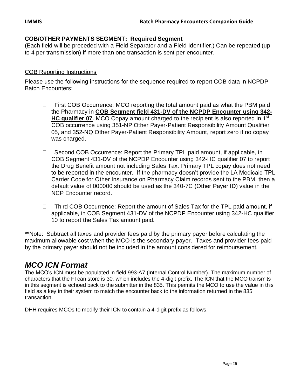#### **COB/OTHER PAYMENTS SEGMENT: Required Segment**

(Each field will be preceded with a Field Separator and a Field Identifier.) Can be repeated (up to 4 per transmission) if more than one transaction is sent per encounter.

#### COB Reporting Instructions

Please use the following instructions for the sequence required to report COB data in NCPDP Batch Encounters:

- $\Box$  First COB Occurrence: MCO reporting the total amount paid as what the PBM paid the Pharmacy in **COB Segment field 431-DV of the NCPDP Encounter using 342- HC qualifier 07**. MCO Copay amount charged to the recipient is also reported in 1<sup>st</sup> COB occurrence using 351-NP Other Payer-Patient Responsibility Amount Qualifier 05, and 352-NQ Other Payer-Patient Responsibility Amount, report zero if no copay was charged.
- □ Second COB Occurrence: Report the Primary TPL paid amount, if applicable, in COB Segment 431-DV of the NCPDP Encounter using 342-HC qualifier 07 to report the Drug Benefit amount not including Sales Tax. Primary TPL copay does not need to be reported in the encounter. If the pharmacy doesn't provide the LA Medicaid TPL Carrier Code for Other Insurance on Pharmacy Claim records sent to the PBM, then a default value of 000000 should be used as the 340-7C (Other Payer ID) value in the NCP Encounter record.
- □ Third COB Occurrence: Report the amount of Sales Tax for the TPL paid amount, if applicable, in COB Segment 431-DV of the NCPDP Encounter using 342-HC qualifier 10 to report the Sales Tax amount paid.

\*\*Note: Subtract all taxes and provider fees paid by the primary payer before calculating the maximum allowable cost when the MCO is the secondary payer. Taxes and provider fees paid by the primary payer should not be included in the amount considered for reimbursement.

# *MCO ICN Format*

The MCO's ICN must be populated in field 993-A7 (Internal Control Number). The maximum number of characters that the FI can store is 30, which includes the 4-digit prefix. The ICN that the MCO transmits in this segment is echoed back to the submitter in the 835. This permits the MCO to use the value in this field as a key in their system to match the encounter back to the information returned in the 835 transaction.

DHH requires MCOs to modify their ICN to contain a 4-digit prefix as follows: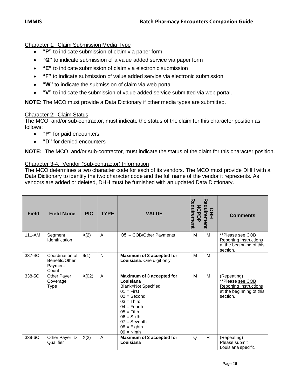Character 1: Claim Submission Media Type

- **"P"** to indicate submission of claim via paper form
- **"Q"** to indicate submission of a value added service via paper form
- **"E"** to indicate submission of claim via electronic submission
- **"F"** to indicate submission of value added service via electronic submission
- **"W"** to indicate the submission of claim via web portal
- **"V"** to indicate the submission of value added service submitted via web portal.

**NOTE**: The MCO must provide a Data Dictionary if other media types are submitted.

#### Character 2: Claim Status

The MCO, and/or sub-contractor, must indicate the status of the claim for this character position as follows:

- **"P"** for paid encounters
- **"D"** for denied encounters

**NOTE:** The MCO, and/or sub-contractor, must indicate the status of the claim for this character position.

#### Character 3-4: Vendor (Sub-contractor) Information

The MCO determines a two character code for each of its vendors. The MCO must provide DHH with a Data Dictionary to identify the two character code and the full name of the vendor it represents. As vendors are added or deleted, DHH must be furnished with an updated Data Dictionary.

| <b>Field</b> | <b>Field Name</b>                                     | <b>PIC</b> | <b>TYPE</b>    | <b>VALUE</b>                                                                                                                                                                                                              | equirement<br><b>NCPDF</b> | Reauirement<br>뫂 | <b>Comments</b>                                                                                   |
|--------------|-------------------------------------------------------|------------|----------------|---------------------------------------------------------------------------------------------------------------------------------------------------------------------------------------------------------------------------|----------------------------|------------------|---------------------------------------------------------------------------------------------------|
| 111-AM       | Segment<br>Identification                             | X(2)       | A              | '05' - COB/Other Payments                                                                                                                                                                                                 | M                          | M                | **Please see COB<br><b>Reporting Instructions</b><br>at the beginning of this<br>section.         |
| 337-4C       | Coordination of<br>Benefits/Other<br>Payment<br>Count | 9(1)       | N              | Maximum of 3 accepted for<br>Louisiana. One digit only                                                                                                                                                                    | M                          | M                |                                                                                                   |
| 338-5C       | <b>Other Payer</b><br>Coverage<br><b>Type</b>         | X(02)      | $\overline{A}$ | Maximum of 3 accepted for<br>Louisiana<br><b>Blank=Not Specified</b><br>$01 =$ First<br>$02 = Second$<br>$03 =$ Third<br>$04 =$ Fourth<br>$05 =$ Fifth<br>$06 =$ Sixth<br>$07 =$ Seventh<br>$08 =$ Eighth<br>$09 =$ Ninth | M                          | M                | (Repeating)<br>**Please see COB<br>Reporting Instructions<br>at the beginning of this<br>section. |
| 339-6C       | Other Payer ID<br>Qualifier                           | X(2)       | A              | Maximum of 3 accepted for<br>Louisiana                                                                                                                                                                                    | Q                          | R                | (Repeating)<br>Please submit<br>Louisiana specific                                                |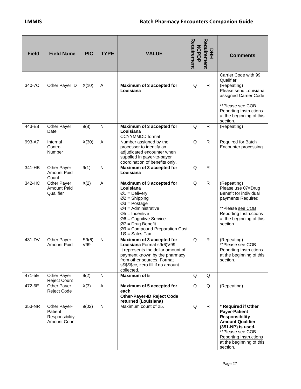| <b>Field</b> | <b>Field Name</b>                                                | <b>PIC</b>   | <b>TYPE</b>  | <b>VALUE</b>                                                                                                                                                                                                                                           | Requirement<br><b>NCPDP</b> | Requirement<br>모<br>도 | <b>Comments</b>                                                                                                                                                                                                   |
|--------------|------------------------------------------------------------------|--------------|--------------|--------------------------------------------------------------------------------------------------------------------------------------------------------------------------------------------------------------------------------------------------------|-----------------------------|-----------------------|-------------------------------------------------------------------------------------------------------------------------------------------------------------------------------------------------------------------|
|              |                                                                  |              |              |                                                                                                                                                                                                                                                        |                             |                       | Carrier Code with 99<br>Qualifier                                                                                                                                                                                 |
| 340-7C       | Other Payer ID                                                   | X(10)        | A            | Maximum of 3 accepted for<br>Louisiana                                                                                                                                                                                                                 | Q                           | R                     | (Repeating)<br>Please send Louisiana<br>assigned Carrier Code.<br>**Please see COB                                                                                                                                |
|              |                                                                  |              |              |                                                                                                                                                                                                                                                        |                             |                       | <b>Reporting Instructions</b><br>at the beginning of this<br>section.                                                                                                                                             |
| 443-E8       | Other Payer<br>Date                                              | 9(8)         | N            | Maximum of 3 accepted for<br>Louisiana<br><b>CCYYMMDD</b> format                                                                                                                                                                                       | Q                           | $\mathsf{R}$          | (Repeating)                                                                                                                                                                                                       |
| 993-A7       | Internal<br>Control<br>Number                                    | X(30)        | A            | Number assigned by the<br>processor to identify an<br>adjudicated encounter when<br>supplied in payer-to-payer<br>coordination of benefits only.                                                                                                       | Q                           | $\mathsf{R}$          | Required for Batch<br>Encounter processing.                                                                                                                                                                       |
| 341-HB       | Other Payer<br>Amount Paid<br>Count                              | 9(1)         | N            | Maximum of 3 accepted for<br>Louisiana                                                                                                                                                                                                                 | Q                           | $\mathsf{R}$          |                                                                                                                                                                                                                   |
| 342-HC       | Other Payer<br>Amount Paid<br>Qualifier                          | X(2)         | A            | Maximum of 3 accepted for<br>Louisiana<br>$Ø1 =$ Delivery<br>$Ø2 =$ Shipping<br>$Ø3 = Postage$<br>$Ø4 =$ Administrative<br>$Ø5 =$ Incentive<br>$Ø6$ = Cognitive Service<br>$Ø7$ = Drug Benefit<br>$Ø9$ = Compound Preparation Cost<br>$10 = Sales Tax$ | Q                           | $\mathsf{R}$          | (Repeating)<br>Please use 07=Drug<br>Benefit for individual<br>payments Required<br>**Please see COB<br>Reporting Instructions<br>at the beginning of this<br>section.                                            |
| 431-DV       | Other Payer<br><b>Amount Paid</b>                                | S9(6)<br>V99 | N            | Maximum of 3 accepted for<br>Louisiana Format s9(6)V99<br>It represents the dollar amount of<br>payment known by the pharmacy<br>from other sources. Format<br>s\$\$\$\$cc, zero fill if no amount<br>collected.                                       | Q                           | R                     | (Repeating)<br>**Please see COB<br>Reporting Instructions<br>at the beginning of this<br>section.                                                                                                                 |
| 471-5E       | Other Payer<br><b>Reject Count</b>                               | 9(2)         | N            | <b>Maximum of 5</b>                                                                                                                                                                                                                                    | Q                           | Q                     |                                                                                                                                                                                                                   |
| 472-6E       | Other Payer<br><b>Reject Code</b>                                | X(3)         | A            | Maximum of 5 accepted for<br>each<br><b>Other-Payer-ID Reject Code</b><br>returned (Louisiana)                                                                                                                                                         | Q                           | Q                     | (Repeating)                                                                                                                                                                                                       |
| 353-NR       | Other Payer-<br>Patient<br>Responsibility<br><b>Amount Count</b> | 9(02)        | $\mathsf{N}$ | Maximum count of 25.                                                                                                                                                                                                                                   | Q                           | R                     | * Required if Other<br><b>Payer-Patient</b><br><b>Responsibility</b><br><b>Amount Qualifier</b><br>(351-NP) is used.<br>**Please see COB<br><b>Reporting Instructions</b><br>at the beginning of this<br>section. |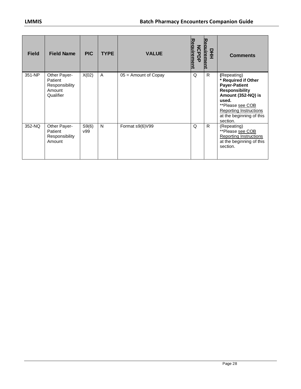| <b>Field</b> | <b>Field Name</b>                                                | <b>PIC</b>   | <b>TYPE</b> | <b>VALUE</b>           | equirement<br><b>NOPD-</b> | Reauireme<br>모<br>王 | <b>Comments</b>                                                                                                                                                                                          |
|--------------|------------------------------------------------------------------|--------------|-------------|------------------------|----------------------------|---------------------|----------------------------------------------------------------------------------------------------------------------------------------------------------------------------------------------------------|
| 351-NP       | Other Payer-<br>Patient<br>Responsibility<br>Amount<br>Qualifier | X(02)        | A           | $05 =$ Amount of Copay | Q                          | R                   | (Repeating)<br>* Required if Other<br><b>Payer-Patient</b><br><b>Responsibility</b><br>Amount (352-NQ) is<br>used.<br>**Please see COB<br>Reporting Instructions<br>at the beginning of this<br>section. |
| 352-NQ       | Other Payer-<br>Patient<br>Responsibility<br>Amount              | S9(6)<br>v99 | N           | Format s9(6)V99        | Q                          | R.                  | (Repeating)<br>**Please see COB<br>Reporting Instructions<br>at the beginning of this<br>section.                                                                                                        |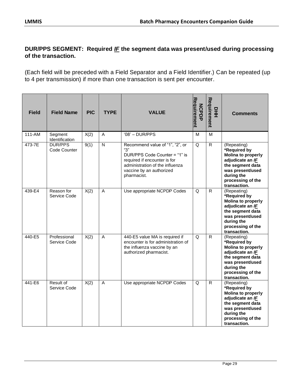### **DUR/PPS SEGMENT: Required** *IF* **the segment data was present/used during processing of the transaction.**

(Each field will be preceded with a Field Separator and a Field Identifier.) Can be repeated (up to 4 per transmission) if more than one transaction is sent per encounter.

| <b>Field</b> | <b>Field Name</b>              | <b>PIC</b> | <b>TYPE</b>  | <b>VALUE</b>                                                                                                                                                                          | Requirement<br><b>NCPDP</b> | Requirement<br>$rac{1}{2}$ | <b>Comments</b>                                                                                                                                                         |
|--------------|--------------------------------|------------|--------------|---------------------------------------------------------------------------------------------------------------------------------------------------------------------------------------|-----------------------------|----------------------------|-------------------------------------------------------------------------------------------------------------------------------------------------------------------------|
| 111-AM       | Segment<br>Identification      | X(2)       | A            | $'08' - DUR/PPS$                                                                                                                                                                      | м                           | м                          |                                                                                                                                                                         |
| 473-7E       | <b>DUR/PPS</b><br>Code Counter | 9(1)       | $\mathsf{N}$ | Recommend value of "1", "2", or<br>"З"<br>DUR/PPS Code Counter = "1" is<br>required if encounter is for<br>administration of the influenza<br>vaccine by an authorized<br>pharmacist. | Q                           | $\mathsf{R}$               | (Repeating)<br>*Required by<br><b>Molina to properly</b><br>adjudicate an IF<br>the segment data<br>was present/used<br>during the<br>processing of the<br>transaction. |
| 439-E4       | Reason for<br>Service Code     | X(2)       | A            | Use appropriate NCPDP Codes                                                                                                                                                           | Q                           | $\mathsf{R}$               | (Repeating)<br>*Required by<br><b>Molina to properly</b><br>adjudicate an IF<br>the segment data<br>was present/used<br>during the<br>processing of the<br>transaction. |
| 440-E5       | Professional<br>Service Code   | X(2)       | A            | 440-E5 value MA is required if<br>encounter is for administration of<br>the influenza vaccine by an<br>authorized pharmacist.                                                         | Q                           | $\mathsf{R}$               | (Repeating)<br>*Required by<br><b>Molina to properly</b><br>adjudicate an IF<br>the segment data<br>was present/used<br>during the<br>processing of the<br>transaction. |
| 441-E6       | Result of<br>Service Code      | X(2)       | A            | Use appropriate NCPDP Codes                                                                                                                                                           | Q                           | $\mathsf{R}$               | (Repeating)<br>*Required by<br><b>Molina to properly</b><br>adjudicate an IF<br>the segment data<br>was present/used<br>during the<br>processing of the<br>transaction. |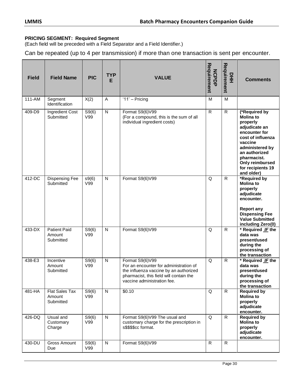#### **PRICING SEGMENT: Required Segment**

(Each field will be preceded with a Field Separator and a Field Identifier.)

Can be repeated (up to 4 per transmission) if more than one transaction is sent per encounter.

| <b>Field</b> | <b>Field Name</b>                          | <b>PIC</b>   | <b>TYP</b><br>E         | <b>VALUE</b>                                                                                                                                                                  | Requirement<br><b>NCPDP</b> | Requirement<br>뫂        | <b>Comments</b>                                                                                                                                                                                                          |
|--------------|--------------------------------------------|--------------|-------------------------|-------------------------------------------------------------------------------------------------------------------------------------------------------------------------------|-----------------------------|-------------------------|--------------------------------------------------------------------------------------------------------------------------------------------------------------------------------------------------------------------------|
| $111 - AM$   | Segment<br>Identification                  | X(2)         | $\overline{\mathsf{A}}$ | $'11'$ – Pricing                                                                                                                                                              | $\overline{M}$              | $\overline{\mathsf{M}}$ |                                                                                                                                                                                                                          |
| 409-D9       | Ingredient Cost<br>Submitted               | S9(6)<br>V99 | $\mathsf{N}$            | Format S9(6)V99<br>(For a compound, this is the sum of all<br>individual ingredient costs)                                                                                    | $\mathsf{R}$                | $\mathsf{R}$            | (*Required by<br><b>Molina to</b><br>properly<br>adjudicate an<br>encounter for<br>cost of influenza<br>vaccine<br>administered by<br>an authorized<br>pharmacist.<br>Only reimbursed<br>for recipients 19<br>and older) |
| 412-DC       | <b>Dispensing Fee</b><br>Submitted         | s9(6)<br>V99 | N                       | Format S9(6)V99                                                                                                                                                               | Q                           | $\mathsf{R}$            | *Required by<br><b>Molina to</b><br>properly<br>adjudicate<br>encounter.<br><b>Report any</b><br><b>Dispensing Fee</b><br><b>Value Submitted</b><br>including Zero(0)                                                    |
| 433-DX       | <b>Patient Paid</b><br>Amount<br>Submitted | S9(6)<br>V99 | $\mathsf{N}$            | Format S9(6)V99                                                                                                                                                               | Q                           | R                       | * Required <b>IF</b> the<br>data was<br>present/used<br>during the<br>processing of<br>the transaction                                                                                                                   |
| 438-E3       | Incentive<br>Amount<br>Submitted           | S9(6)<br>V99 | $\mathsf{N}$            | Format S9(6)V99<br>For an encounter for administration of<br>the influenza vaccine by an authorized<br>pharmacist, this field will contain the<br>vaccine administration fee. | Q                           | $\mathsf{R}$            | * Required <b>IF</b> the<br>data was<br>present/used<br>during the<br>processing of<br>the transaction                                                                                                                   |
| 481-HA       | Flat Sales Tax<br>Amount<br>Submitted      | S9(6)<br>V99 | $\mathsf{N}$            | \$0.10                                                                                                                                                                        | Q                           | $\mathsf{R}$            | <b>Required by</b><br><b>Molina to</b><br>properly<br>adjudicate<br>encounter.                                                                                                                                           |
| 426-DQ       | Usual and<br>Customary<br>Charge           | S9(6)<br>V99 | ${\sf N}$               | Format S9(6)V99 The usual and<br>customary charge for the prescription in<br>s\$\$\$\$cc format.                                                                              | Q                           | $\mathsf{R}$            | <b>Required by</b><br><b>Molina to</b><br>properly<br>adjudicate<br>encounter.                                                                                                                                           |
| 430-DU       | <b>Gross Amount</b><br>Due                 | S9(6)<br>V99 | ${\sf N}$               | Format S9(6)V99                                                                                                                                                               | $\mathsf{R}$                | R                       |                                                                                                                                                                                                                          |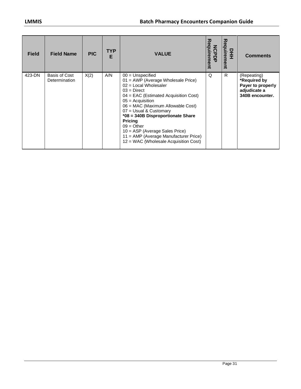| <b>Field</b> | <b>Field Name</b>              | <b>PIC</b> | TYP.<br>Е | <b>VALUE</b>                                                                                                                                                                                                                                                                                                                                                                                                                    | Requirement<br><b>NCPDP</b> | 고<br>equirem<br>모<br>王<br>መ<br>₹ | <b>Comments</b>                                                                     |
|--------------|--------------------------------|------------|-----------|---------------------------------------------------------------------------------------------------------------------------------------------------------------------------------------------------------------------------------------------------------------------------------------------------------------------------------------------------------------------------------------------------------------------------------|-----------------------------|----------------------------------|-------------------------------------------------------------------------------------|
| 423-DN       | Basis of Cost<br>Determination | X(2)       | A/N       | $00 =$ Unspecified<br>01 = AWP (Average Wholesale Price)<br>$02$ = Local Wholesaler<br>$03 =$ Direct<br>$04 = EAC$ (Estimated Acquisition Cost)<br>$05 =$ Acquisition<br>06 = MAC (Maximum Allowable Cost)<br>07 = Usual & Customary<br>*08 = 340B Disproportionate Share<br><b>Pricing</b><br>$09 = Other$<br>10 = ASP (Average Sales Price)<br>11 = AMP (Average Manufacturer Price)<br>12 = WAC (Wholesale Acquisition Cost) | $\Omega$                    | R                                | (Repeating)<br>*Required by<br>Payer to properly<br>adjudicate a<br>340B encounter. |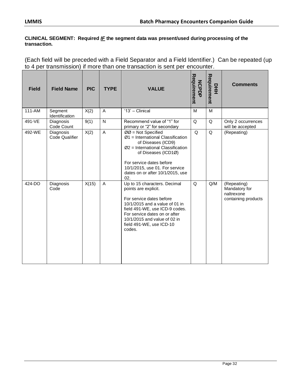#### **CLINICAL SEGMENT: Required** *IF* **the segment data was present/used during processing of the transaction.**

(Each field will be preceded with a Field Separator and a Field Identifier.) Can be repeated (up to 4 per transmission) if more than one transaction is sent per encounter.

| <b>Field</b> | <b>Field Name</b>           | <b>PIC</b> | <b>TYPE</b>             | <b>VALUE</b>                                                                                                                                                                                                                                                | Requirement<br><b>NCPDP</b> | Requirement<br>모<br>王 | <b>Comments</b>                                                   |
|--------------|-----------------------------|------------|-------------------------|-------------------------------------------------------------------------------------------------------------------------------------------------------------------------------------------------------------------------------------------------------------|-----------------------------|-----------------------|-------------------------------------------------------------------|
| 111-AM       | Segment<br>Identification   | X(2)       | A                       | '13' - Clinical                                                                                                                                                                                                                                             | M                           | M                     |                                                                   |
| 491-VE       | Diagnosis<br>Code Count     | 9(1)       | $\mathsf{N}$            | Recommend value of "1" for<br>primary or "2" for secondary                                                                                                                                                                                                  | Q                           | Q                     | Only 2 occurrences<br>will be accepted                            |
| 492-WE       | Diagnosis<br>Code Qualifier | X(2)       | $\overline{\mathsf{A}}$ | $ØØ = Not Special$<br>$Ø1$ = International Classification<br>of Diseases (ICD9)<br>$Ø2$ = International Classification<br>of Diseases (ICD1Ø)<br>For service dates before<br>10/1/2015, use 01. For service<br>dates on or after 10/1/2015, use<br>02.      | Q                           | Q                     | (Repeating)                                                       |
| 424-DO       | Diagnosis<br>Code           | X(15)      | A                       | Up to 15 characters. Decimal<br>points are explicit.<br>For service dates before<br>10/1/2015 and a value of 01 in<br>field 491-WE, use ICD-9 codes.<br>For service dates on or after<br>10/1/2015 and value of 02 in<br>field 491-WE, use ICD-10<br>codes. | $\Omega$                    | Q/M                   | (Repeating)<br>Mandatory for<br>naltrexone<br>containing products |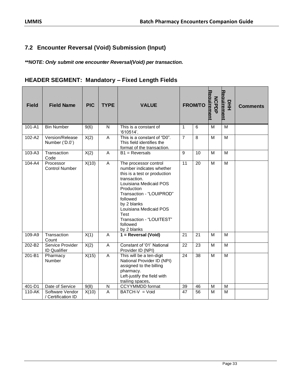## <span id="page-34-0"></span>**7.2 Encounter Reversal (Void) Submission (Input)**

*\*\*NOTE: Only submit one encounter Reversal(Void) per transaction.*

## **HEADER SEGMENT: Mandatory – Fixed Length Fields**

| <b>Field</b> | <b>Field Name</b>                       | <b>PIC</b> | <b>TYPE</b>             | <b>VALUE</b>                                                                                                                                                                                                                                                                              |                | <b>FROM/TO</b> | Reauirement<br><b>NCPDF</b> | Reauirement<br>모<br>王 | <b>Comments</b> |
|--------------|-----------------------------------------|------------|-------------------------|-------------------------------------------------------------------------------------------------------------------------------------------------------------------------------------------------------------------------------------------------------------------------------------------|----------------|----------------|-----------------------------|-----------------------|-----------------|
| 101-A1       | <b>Bin Number</b>                       | 9(6)       | N                       | This is a constant of<br>'610514'.                                                                                                                                                                                                                                                        | $\mathbf{1}$   | 6              | M                           | M                     |                 |
| 102-A2       | Version/Release<br>Number ('D.0')       | X(2)       | A                       | This is a constant of "D0".<br>This field identifies the<br>format of the transaction.                                                                                                                                                                                                    | $\overline{7}$ | 8              | M                           | M                     |                 |
| 103-A3       | Transaction<br>Code                     | X(2)       | A                       | $B1 =$ Reversals                                                                                                                                                                                                                                                                          | 9              | 10             | M                           | M                     |                 |
| 104-A4       | Processor<br><b>Control Number</b>      | X(10)      | A                       | The processor control<br>number indicates whether<br>this is a test or production<br>transaction.<br>Louisiana Medicaid POS<br>Production<br>Transaction - "LOUIPROD"<br>followed<br>by 2 blanks<br>Louisiana Medicaid POS<br>Test<br>Transaction - "LOUITEST"<br>followed<br>by 2 blanks | 11             | 20             | M                           | M                     |                 |
| 109-A9       | Transaction<br>Count                    | X(1)       | A                       | 1 = Reversal (Void)                                                                                                                                                                                                                                                                       | 21             | 21             | M                           | M                     |                 |
| 202-B2       | Service Provider<br><b>ID</b> Qualifier | X(2)       | $\overline{\mathsf{A}}$ | Constant of '01' National<br>Provider ID (NPI)                                                                                                                                                                                                                                            | 22             | 23             | M                           | M                     |                 |
| 201-B1       | Pharmacy<br>Number                      | X(15)      | A                       | This will be a ten-digit<br>National Provider ID (NPI)<br>assigned to the billing<br>pharmacy.<br>Left-justify the field with<br>trailing spaces.                                                                                                                                         | 24             | 38             | M                           | M                     |                 |
| 401-D1       | Date of Service                         | 9(8)       | $\overline{N}$          | CCYYMMDD format                                                                                                                                                                                                                                                                           | 39             | 46             | M                           | M                     |                 |
| 110-AK       | Software Vendor<br>/ Certification ID   | X(10)      | A                       | BATCH-V = Void                                                                                                                                                                                                                                                                            | 47             | 56             | M                           | M                     |                 |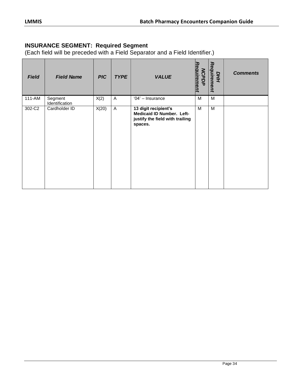## **INSURANCE SEGMENT: Required Segment**

| <b>Field</b> | <b>Field Name</b>         | <b>PIC</b> | <b>TYPE</b>    | <b>VALUE</b>                                                                                    | Requirement<br><b>NCPDP</b> | Requirement<br>DНИ | <b>Comments</b> |
|--------------|---------------------------|------------|----------------|-------------------------------------------------------------------------------------------------|-----------------------------|--------------------|-----------------|
| 111-AM       | Segment<br>Identification | X(2)       | $\overline{A}$ | '04' - Insurance                                                                                | M                           | M                  |                 |
| 302-C2       | Cardholder ID             | X(20)      | $\mathsf{A}$   | 13 digit recipient's<br>Medicaid ID Number. Left-<br>justify the field with trailing<br>spaces. | M                           | M                  |                 |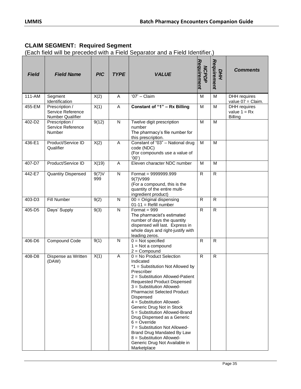## **CLAIM SEGMENT: Required Segment**

| <b>Field</b> | <b>Field Name</b>                                       | <b>PIC</b>   | <b>TYPE</b>  | <b>VALUE</b>                                                                                                                                                                                                                                                                                                                                                                                                                                                                                                                            | Requirement<br><b>NCPDP</b> | Requirement<br><b>DHH</b> | <b>Comments</b>                                         |
|--------------|---------------------------------------------------------|--------------|--------------|-----------------------------------------------------------------------------------------------------------------------------------------------------------------------------------------------------------------------------------------------------------------------------------------------------------------------------------------------------------------------------------------------------------------------------------------------------------------------------------------------------------------------------------------|-----------------------------|---------------------------|---------------------------------------------------------|
| 111-AM       | Segment<br>Identification                               | X(2)         | A            | $'07'$ - Claim                                                                                                                                                                                                                                                                                                                                                                                                                                                                                                                          | M                           | M                         | DHH requires<br>value 07 = Claim.                       |
| 455-EM       | Prescription /<br>Service Reference<br>Number Qualifier | X(1)         | A            | Constant of "1" - Rx Billing                                                                                                                                                                                                                                                                                                                                                                                                                                                                                                            | M                           | M                         | <b>DHH</b> requires<br>value $1 = Rx$<br><b>Billing</b> |
| 402-D2       | Prescription /<br>Service Reference<br><b>Number</b>    | 9(12)        | $\mathsf{N}$ | Twelve digit prescription<br>number<br>The pharmacy's file number for<br>this prescription.                                                                                                                                                                                                                                                                                                                                                                                                                                             | M                           | M                         |                                                         |
| 436-E1       | Product/Service ID<br>Qualifier                         | X(2)         | A            | Constant of "03" - National drug<br>code (NDC)<br>(For compounds use a value of<br>(00)                                                                                                                                                                                                                                                                                                                                                                                                                                                 | M                           | M                         |                                                         |
| 407-D7       | Product/Service ID                                      | X(19)        | A            | Eleven character NDC number                                                                                                                                                                                                                                                                                                                                                                                                                                                                                                             | M                           | M                         |                                                         |
| 442-E7       | <b>Quantity Dispensed</b>                               | 9(7)V<br>999 | $\mathsf{N}$ | Format = 9999999.999<br>9(7) V999<br>(For a compound, this is the<br>quantity of the entire multi-<br>ingredient product)                                                                                                                                                                                                                                                                                                                                                                                                               | $\mathsf{R}$                | $\mathsf{R}$              |                                                         |
| 403-D3       | Fill Number                                             | 9(2)         | N            | $00 =$ Original dispensing<br>$01-11 =$ Refill number                                                                                                                                                                                                                                                                                                                                                                                                                                                                                   | R.                          | $\mathsf{R}$              |                                                         |
| 405-D5       | Days' Supply                                            | 9(3)         | $\mathsf{N}$ | Format = $999$<br>The pharmacist's estimated<br>number of days the quantity<br>dispensed will last. Express in<br>whole days and right-justify with<br>leading zeros.                                                                                                                                                                                                                                                                                                                                                                   | $\mathsf{R}$                | $\mathsf{R}$              |                                                         |
| 406-D6       | Compound Code                                           | 9(1)         | $\mathsf{N}$ | $0 = Not specified$<br>$1 = Not$ a compound<br>$2 =$ Compound                                                                                                                                                                                                                                                                                                                                                                                                                                                                           | R.                          | $\mathsf{R}$              |                                                         |
| 408-D8       | Dispense as Written<br>(DAW)                            | X(1)         | A            | $0 = No$ Product Selection<br>Indicated<br>*1 = Substitution Not Allowed by<br>Prescriber<br>2 = Substitution Allowed-Patient<br>Requested Product Dispensed<br>3 = Substitution Allowed-<br><b>Pharmacist Selected Product</b><br>Dispensed<br>4 = Substitution Allowed-<br>Generic Drug Not in Stock<br>5 = Substitution Allowed-Brand<br>Drug Dispensed as a Generic<br>$6 =$ Override<br>7 = Substitution Not Allowed-<br>Brand Drug Mandated By Law<br>$8 =$ Substitution Allowed-<br>Generic Drug Not Available in<br>Marketplace | $\mathsf{R}$                | $\mathsf{R}$              |                                                         |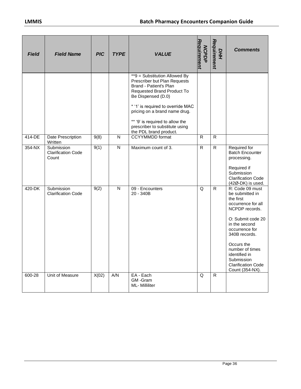| <b>Field</b> | <b>Field Name</b>                                | <b>PIC</b> | <b>TYPE</b> | <b>VALUE</b>                                                                                                                                                                                                                                                                                                            | Requirement<br><b>NCPDP</b> | Requirement<br><b>DHH</b> | <b>Comments</b>                                                                                                                                                                                                                                                                  |
|--------------|--------------------------------------------------|------------|-------------|-------------------------------------------------------------------------------------------------------------------------------------------------------------------------------------------------------------------------------------------------------------------------------------------------------------------------|-----------------------------|---------------------------|----------------------------------------------------------------------------------------------------------------------------------------------------------------------------------------------------------------------------------------------------------------------------------|
|              |                                                  |            |             | **9 = Substitution Allowed By<br>Prescriber but Plan Requests<br>Brand - Patient's Plan<br><b>Requested Brand Product To</b><br>Be Dispensed (D.0)<br>* '1' is required to override MAC<br>pricing on a brand name drug.<br>** '9' is required to allow the<br>prescriber to substitute using<br>the PDL brand product. |                             |                           |                                                                                                                                                                                                                                                                                  |
| 414-DE       | Date Prescription<br>Written                     | 9(8)       | N           | <b>CCYYMMDD</b> format                                                                                                                                                                                                                                                                                                  | R                           | R                         |                                                                                                                                                                                                                                                                                  |
| 354-NX       | Submission<br><b>Clarification Code</b><br>Count | 9(1)       | ${\sf N}$   | Maximum count of 3.                                                                                                                                                                                                                                                                                                     | R                           | $\mathsf{R}$              | Required for<br><b>Batch Encounter</b><br>processing.<br>Required if<br>Submission<br><b>Clarification Code</b><br>(42Ø-DK) is used.                                                                                                                                             |
| 420-DK       | Submission<br><b>Clarification Code</b>          | 9(2)       | N           | 09 - Encounters<br>20 - 340B                                                                                                                                                                                                                                                                                            | Q                           | R                         | R: Code 09 must<br>be submitted in<br>the first<br>occurrence for all<br>NCPDP records.<br>O: Submit code 20<br>in the second<br>occurrence for<br>340B records.<br>Occurs the<br>number of times<br>identified in<br>Submission<br><b>Clarification Code</b><br>Count (354-NX). |
| 600-28       | Unit of Measure                                  | X(02)      | A/N         | EA - Each<br>GM-Gram<br>ML- Milliliter                                                                                                                                                                                                                                                                                  | Q                           | R.                        |                                                                                                                                                                                                                                                                                  |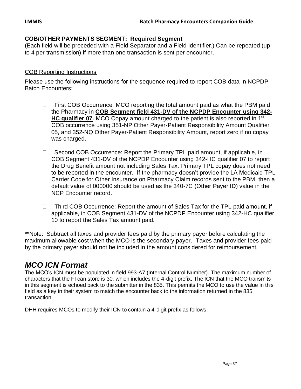#### **COB/OTHER PAYMENTS SEGMENT: Required Segment**

(Each field will be preceded with a Field Separator and a Field Identifier.) Can be repeated (up to 4 per transmission) if more than one transaction is sent per encounter.

#### COB Reporting Instructions

Please use the following instructions for the sequence required to report COB data in NCPDP Batch Encounters:

- $\Box$  First COB Occurrence: MCO reporting the total amount paid as what the PBM paid the Pharmacy in **COB Segment field 431-DV of the NCPDP Encounter using 342- HC qualifier 07**. MCO Copay amount charged to the patient is also reported in 1<sup>st</sup> COB occurrence using 351-NP Other Payer-Patient Responsibility Amount Qualifier 05, and 352-NQ Other Payer-Patient Responsibility Amount, report zero if no copay was charged.
- □ Second COB Occurrence: Report the Primary TPL paid amount, if applicable, in COB Segment 431-DV of the NCPDP Encounter using 342-HC qualifier 07 to report the Drug Benefit amount not including Sales Tax. Primary TPL copay does not need to be reported in the encounter. If the pharmacy doesn't provide the LA Medicaid TPL Carrier Code for Other Insurance on Pharmacy Claim records sent to the PBM, then a default value of 000000 should be used as the 340-7C (Other Payer ID) value in the NCP Encounter record.
- □ Third COB Occurrence: Report the amount of Sales Tax for the TPL paid amount, if applicable, in COB Segment 431-DV of the NCPDP Encounter using 342-HC qualifier 10 to report the Sales Tax amount paid.

\*\*Note: Subtract all taxes and provider fees paid by the primary payer before calculating the maximum allowable cost when the MCO is the secondary payer. Taxes and provider fees paid by the primary payer should not be included in the amount considered for reimbursement.

# *MCO ICN Format*

The MCO's ICN must be populated in field 993-A7 (Internal Control Number). The maximum number of characters that the FI can store is 30, which includes the 4-digit prefix. The ICN that the MCO transmits in this segment is echoed back to the submitter in the 835. This permits the MCO to use the value in this field as a key in their system to match the encounter back to the information returned in the 835 transaction.

DHH requires MCOs to modify their ICN to contain a 4-digit prefix as follows: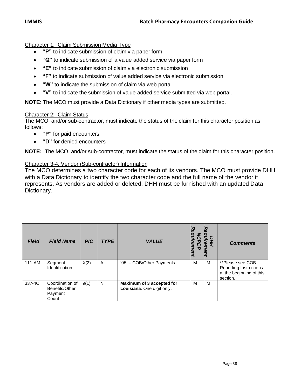Character 1: Claim Submission Media Type

- **"P"** to indicate submission of claim via paper form
- **"Q"** to indicate submission of a value added service via paper form
- **"E"** to indicate submission of claim via electronic submission
- **"F"** to indicate submission of value added service via electronic submission
- **"W"** to indicate the submission of claim via web portal
- **"V"** to indicate the submission of value added service submitted via web portal.

**NOTE**: The MCO must provide a Data Dictionary if other media types are submitted.

#### Character 2: Claim Status

The MCO, and/or sub-contractor, must indicate the status of the claim for this character position as follows:

- **"P"** for paid encounters
- **"D"** for denied encounters

**NOTE:** The MCO, and/or sub-contractor, must indicate the status of the claim for this character position.

#### Character 3-4: Vendor (Sub-contractor) Information

The MCO determines a two character code for each of its vendors. The MCO must provide DHH with a Data Dictionary to identify the two character code and the full name of the vendor it represents. As vendors are added or deleted, DHH must be furnished with an updated Data Dictionary.

| <b>Field</b> | <b>Field Name</b>                                     | <b>PIC</b> | <b>TYPE</b> | <b>VALUE</b>                                            | quiremen<br>Q | DHH | <b>Comments</b>                                                                    |
|--------------|-------------------------------------------------------|------------|-------------|---------------------------------------------------------|---------------|-----|------------------------------------------------------------------------------------|
| $111 - AM$   | Segment<br>Identification                             | X(2)       | A           | '05' - COB/Other Payments                               | M             | M   | **Please see COB<br>Reporting Instructions<br>at the beginning of this<br>section. |
| 337-4C       | Coordination of<br>Benefits/Other<br>Payment<br>Count | 9(1)       | N           | Maximum of 3 accepted for<br>Louisiana. One digit only. | M             | M   |                                                                                    |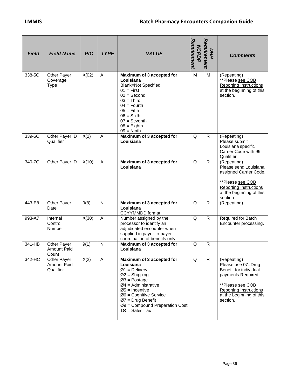| <b>Field</b> | <b>Field Name</b>                          | <b>PIC</b> | <b>TYPE</b> | <b>VALUE</b>                                                                                                                                                                                                                                            | Requirement<br><b>NCPDP</b> | Reauirement<br>DНH | <b>Comments</b>                                                                                                                                                               |
|--------------|--------------------------------------------|------------|-------------|---------------------------------------------------------------------------------------------------------------------------------------------------------------------------------------------------------------------------------------------------------|-----------------------------|--------------------|-------------------------------------------------------------------------------------------------------------------------------------------------------------------------------|
| 338-5C       | Other Payer<br>Coverage<br><b>Type</b>     | X(02)      | A           | Maximum of 3 accepted for<br>Louisiana<br><b>Blank=Not Specified</b><br>$01 =$ First<br>$02 = Second$<br>$03 =$ Third<br>$04 =$ Fourth<br>$05 =$ Fifth<br>$06 =$ Sixth<br>$07 =$ Seventh<br>$08 =$ Eighth<br>$09 =$ Ninth                               | M                           | M                  | (Repeating)<br>**Please see COB<br><b>Reporting Instructions</b><br>at the beginning of this<br>section.                                                                      |
| 339-6C       | Other Payer ID<br>Qualifier                | X(2)       | A           | Maximum of 3 accepted for<br>Louisiana                                                                                                                                                                                                                  | Q                           | $\mathsf{R}$       | (Repeating)<br>Please submit<br>Louisiana specific<br>Carrier Code with 99<br>Qualifier                                                                                       |
| 340-7C       | Other Payer ID                             | X(10)      | A           | Maximum of 3 accepted for<br>Louisiana                                                                                                                                                                                                                  | Q                           | R.                 | (Repeating)<br>Please send Louisiana<br>assigned Carrier Code.<br>**Please see COB<br><b>Reporting Instructions</b><br>at the beginning of this<br>section.                   |
| 443-E8       | Other Payer<br>Date                        | 9(8)       | N           | Maximum of 3 accepted for<br>Louisiana<br><b>CCYYMMDD</b> format                                                                                                                                                                                        | Q                           | R.                 | (Repeating)                                                                                                                                                                   |
| 993-A7       | Internal<br>Control<br>Number              | X(30)      | A           | Number assigned by the<br>processor to identify an<br>adjudicated encounter when<br>supplied in payer-to-payer<br>coordination of benefits only.                                                                                                        | Q                           | $\mathsf{R}$       | Required for Batch<br>Encounter processing.                                                                                                                                   |
| 341-HB       | Other Payer<br><b>Amount Paid</b><br>Count | 9(1)       | N           | Maximum of 3 accepted for<br>Louisiana                                                                                                                                                                                                                  | Q                           | $\mathsf{R}$       |                                                                                                                                                                               |
| 342-HC       | Other Payer<br>Amount Paid<br>Qualifier    | X(2)       | Α           | Maximum of 3 accepted for<br>Louisiana<br>$Ø1 =$ Delivery<br>$Ø2 =$ Shipping<br>$Ø3 = Postage$<br>$Ø4 =$ Administrative<br>$Ø5 =$ Incentive<br>$Ø6$ = Cognitive Service<br>$Ø7$ = Drug Benefit<br>$Ø9$ = Compound Preparation Cost<br>$100 = Sales Tax$ | Q                           | R                  | (Repeating)<br>Please use 07=Drug<br>Benefit for individual<br>payments Required<br>**Please see COB<br><b>Reporting Instructions</b><br>at the beginning of this<br>section. |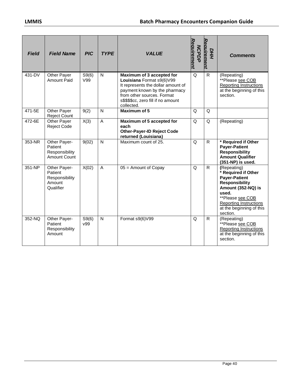| <b>Field</b> | <b>Field Name</b>                                                | <b>PIC</b>   | <b>TYPE</b>    | <b>VALUE</b>                                                                                                                                                                                                     | Requirement<br><b>NCPDP</b> | Reauirement<br>DНH | <b>Comments</b>                                                                                                                                                                                                 |
|--------------|------------------------------------------------------------------|--------------|----------------|------------------------------------------------------------------------------------------------------------------------------------------------------------------------------------------------------------------|-----------------------------|--------------------|-----------------------------------------------------------------------------------------------------------------------------------------------------------------------------------------------------------------|
| 431-DV       | Other Payer<br><b>Amount Paid</b>                                | S9(6)<br>V99 | $\mathsf{N}$   | Maximum of 3 accepted for<br>Louisiana Format s9(6)V99<br>It represents the dollar amount of<br>payment known by the pharmacy<br>from other sources. Format<br>s\$\$\$\$cc, zero fill if no amount<br>collected. | Q                           | $\mathsf{R}$       | (Repeating)<br>**Please see COB<br>Reporting Instructions<br>at the beginning of this<br>section.                                                                                                               |
| 471-5E       | Other Payer<br><b>Reject Count</b>                               | 9(2)         | N              | Maximum of 5                                                                                                                                                                                                     | Q                           | Q                  |                                                                                                                                                                                                                 |
| 472-6E       | Other Payer<br><b>Reject Code</b>                                | X(3)         | A              | Maximum of 5 accepted for<br>each<br><b>Other-Payer-ID Reject Code</b><br>returned (Louisiana)                                                                                                                   | Q                           | Q                  | (Repeating)                                                                                                                                                                                                     |
| 353-NR       | Other Payer-<br>Patient<br>Responsibility<br>Amount Count        | 9(02)        | N              | Maximum count of 25.                                                                                                                                                                                             | Q                           | $\mathsf{R}$       | * Required if Other<br><b>Payer-Patient</b><br><b>Responsibility</b><br><b>Amount Qualifier</b><br>(351-NP) is used.                                                                                            |
| 351-NP       | Other Payer-<br>Patient<br>Responsibility<br>Amount<br>Qualifier | X(02)        | $\overline{A}$ | $05 =$ Amount of Copay                                                                                                                                                                                           | Q                           | $\mathsf{R}$       | (Repeating)<br>* Required if Other<br><b>Payer-Patient</b><br><b>Responsibility</b><br>Amount (352-NQ) is<br>used.<br>**Please see COB<br><b>Reporting Instructions</b><br>at the beginning of this<br>section. |
| 352-NQ       | Other Payer-<br>Patient<br>Responsibility<br>Amount              | S9(6)<br>v99 | $\mathsf{N}$   | Format s9(6)V99                                                                                                                                                                                                  | Q                           | $\mathsf{R}$       | (Repeating)<br>**Please see COB<br><b>Reporting Instructions</b><br>at the beginning of this<br>section.                                                                                                        |